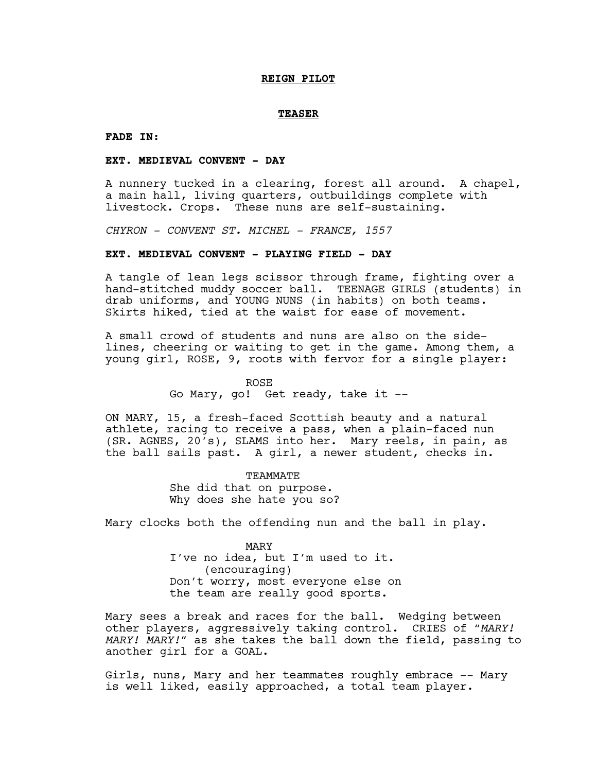#### **REIGN PILOT**

#### **TEASER**

**FADE IN:**

### **EXT. MEDIEVAL CONVENT - DAY**

A nunnery tucked in a clearing, forest all around. A chapel, a main hall, living quarters, outbuildings complete with livestock. Crops. These nuns are self-sustaining.

*CHYRON - CONVENT ST. MICHEL - FRANCE, 1557*

#### **EXT. MEDIEVAL CONVENT - PLAYING FIELD - DAY**

A tangle of lean legs scissor through frame, fighting over a hand-stitched muddy soccer ball. TEENAGE GIRLS (students) in drab uniforms, and YOUNG NUNS (in habits) on both teams. Skirts hiked, tied at the waist for ease of movement.

A small crowd of students and nuns are also on the sidelines, cheering or waiting to get in the game. Among them, a young girl, ROSE, 9, roots with fervor for a single player:

ROSE

Go Mary, go! Get ready, take it --

ON MARY, 15, a fresh-faced Scottish beauty and a natural athlete, racing to receive a pass, when a plain-faced nun (SR. AGNES, 20's), SLAMS into her. Mary reels, in pain, as the ball sails past. A girl, a newer student, checks in.

> TEAMMATE She did that on purpose. Why does she hate you so?

Mary clocks both the offending nun and the ball in play.

MARY I've no idea, but I'm used to it. (encouraging) Don't worry, most everyone else on the team are really good sports.

Mary sees a break and races for the ball. Wedging between other players, aggressively taking control. CRIES of *"MARY! MARY! MARY!"* as she takes the ball down the field, passing to another girl for a GOAL.

Girls, nuns, Mary and her teammates roughly embrace -- Mary is well liked, easily approached, a total team player.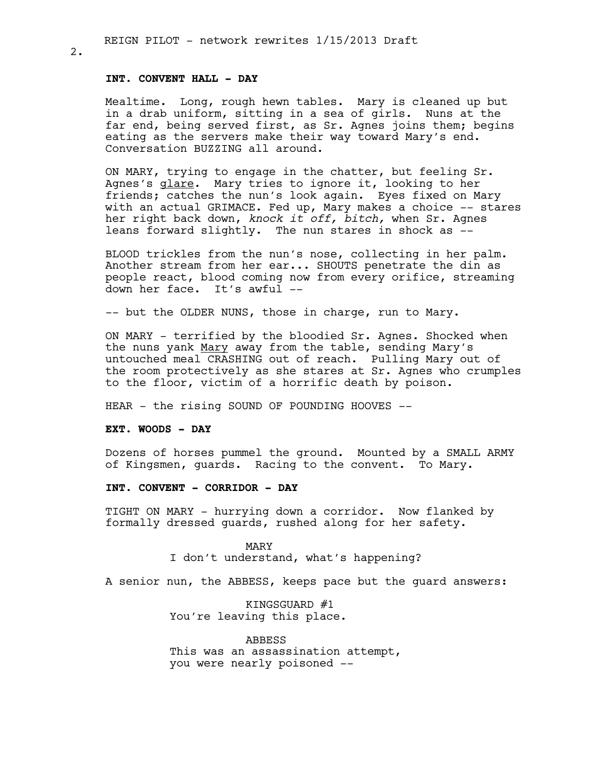### **INT. CONVENT HALL - DAY**

Mealtime. Long, rough hewn tables. Mary is cleaned up but in a drab uniform, sitting in a sea of girls. Nuns at the far end, being served first, as Sr. Agnes joins them; begins eating as the servers make their way toward Mary's end. Conversation BUZZING all around.

ON MARY, trying to engage in the chatter, but feeling Sr. Agnes's glare. Mary tries to ignore it, looking to her friends; catches the nun's look again. Eyes fixed on Mary with an actual GRIMACE. Fed up, Mary makes a choice -- stares her right back down, *knock it off, bitch,* when Sr. Agnes leans forward slightly. The nun stares in shock as --

BLOOD trickles from the nun's nose, collecting in her palm. Another stream from her ear... SHOUTS penetrate the din as people react, blood coming now from every orifice, streaming down her face. It's awful --

-- but the OLDER NUNS, those in charge, run to Mary.

ON MARY - terrified by the bloodied Sr. Agnes. Shocked when the nuns yank Mary away from the table, sending Mary's untouched meal CRASHING out of reach. Pulling Mary out of the room protectively as she stares at Sr. Agnes who crumples to the floor, victim of a horrific death by poison.

HEAR - the rising SOUND OF POUNDING HOOVES --

#### **EXT. WOODS - DAY**

Dozens of horses pummel the ground. Mounted by a SMALL ARMY of Kingsmen, guards. Racing to the convent. To Mary.

# **INT. CONVENT - CORRIDOR - DAY**

TIGHT ON MARY - hurrying down a corridor. Now flanked by formally dressed guards, rushed along for her safety.

> MARY I don't understand, what's happening?

A senior nun, the ABBESS, keeps pace but the guard answers:

KINGSGUARD #1 You're leaving this place.

ABBESS This was an assassination attempt, you were nearly poisoned --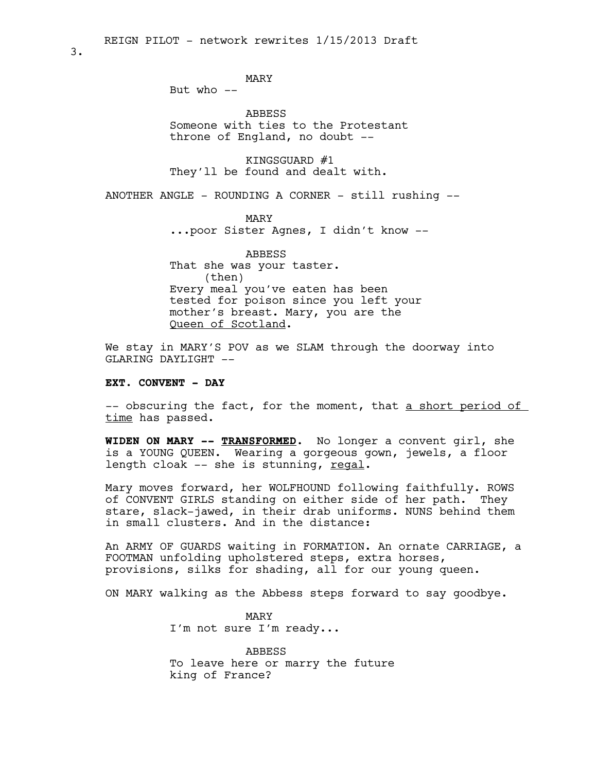MARY

But who  $--$ 

ABBESS Someone with ties to the Protestant throne of England, no doubt --

KINGSGUARD #1 They'll be found and dealt with.

ANOTHER ANGLE - ROUNDING A CORNER - still rushing --

MARY

...poor Sister Agnes, I didn't know --

ABBESS That she was your taster. (then) Every meal you've eaten has been tested for poison since you left your mother's breast. Mary, you are the Queen of Scotland.

We stay in MARY'S POV as we SLAM through the doorway into GLARING DAYLIGHT --

### **EXT. CONVENT - DAY**

-- obscuring the fact, for the moment, that a short period of time has passed.

**WIDEN ON MARY -- TRANSFORMED.** No longer a convent girl, she is a YOUNG QUEEN. Wearing a gorgeous gown, jewels, a floor length cloak -- she is stunning, regal.

Mary moves forward, her WOLFHOUND following faithfully. ROWS of CONVENT GIRLS standing on either side of her path. They stare, slack-jawed, in their drab uniforms. NUNS behind them in small clusters. And in the distance:

An ARMY OF GUARDS waiting in FORMATION. An ornate CARRIAGE, a FOOTMAN unfolding upholstered steps, extra horses, provisions, silks for shading, all for our young queen.

ON MARY walking as the Abbess steps forward to say goodbye.

MARY I'm not sure I'm ready...

ABBESS To leave here or marry the future king of France?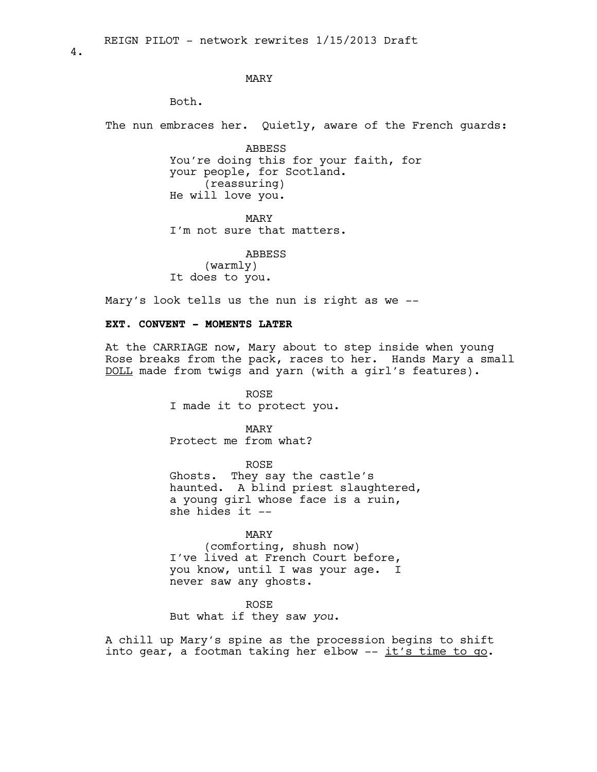### MARY

Both.

The nun embraces her. Quietly, aware of the French guards:

ABBESS You're doing this for your faith, for your people, for Scotland. (reassuring) He will love you.

MARY I'm not sure that matters.

ABBESS

(warmly) It does to you.

Mary's look tells us the nun is right as we --

### **EXT. CONVENT - MOMENTS LATER**

At the CARRIAGE now, Mary about to step inside when young Rose breaks from the pack, races to her. Hands Mary a small DOLL made from twigs and yarn (with a girl's features).

> ROSE I made it to protect you.

MARY Protect me from what?

ROSE Ghosts. They say the castle's haunted. A blind priest slaughtered, a young girl whose face is a ruin, she hides it --

### MARY

(comforting, shush now) I've lived at French Court before, you know, until I was your age. I never saw any ghosts.

ROSE

But what if they saw *you*.

A chill up Mary's spine as the procession begins to shift into gear, a footman taking her elbow  $--$  it's time to go.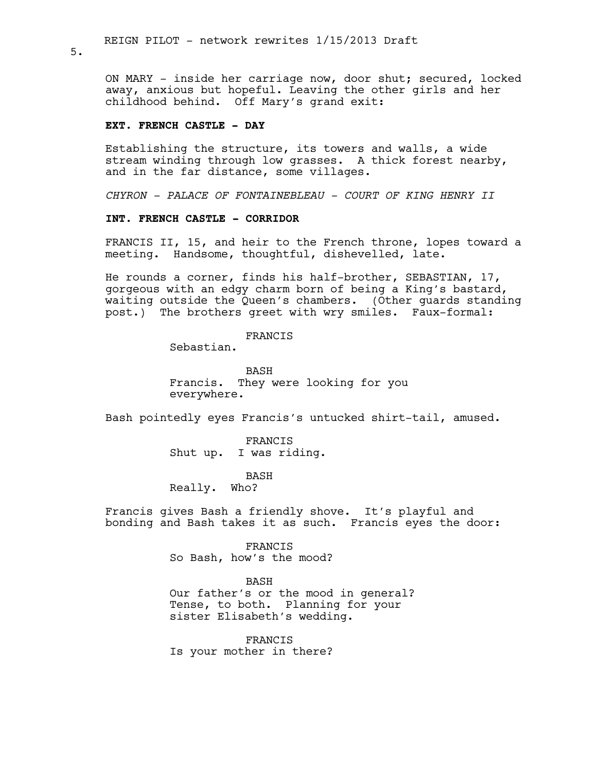ON MARY - inside her carriage now, door shut; secured, locked away, anxious but hopeful. Leaving the other girls and her childhood behind. Off Mary's grand exit:

### **EXT. FRENCH CASTLE - DAY**

Establishing the structure, its towers and walls, a wide stream winding through low grasses. A thick forest nearby, and in the far distance, some villages.

*CHYRON - PALACE OF FONTAINEBLEAU - COURT OF KING HENRY II*

#### **INT. FRENCH CASTLE - CORRIDOR**

FRANCIS II, 15, and heir to the French throne, lopes toward a meeting. Handsome, thoughtful, dishevelled, late.

He rounds a corner, finds his half-brother, SEBASTIAN, 17, gorgeous with an edgy charm born of being a King's bastard, waiting outside the Queen's chambers. (Other guards standing post.) The brothers greet with wry smiles. Faux-formal:

### FRANCIS

Sebastian.

BASH Francis. They were looking for you everywhere.

Bash pointedly eyes Francis's untucked shirt-tail, amused.

FRANCIS Shut up. I was riding.

BASH

Really. Who?

Francis gives Bash a friendly shove. It's playful and bonding and Bash takes it as such. Francis eyes the door:

> FRANCIS So Bash, how's the mood?

BASH Our father's or the mood in general? Tense, to both. Planning for your sister Elisabeth's wedding.

FRANCIS Is your mother in there?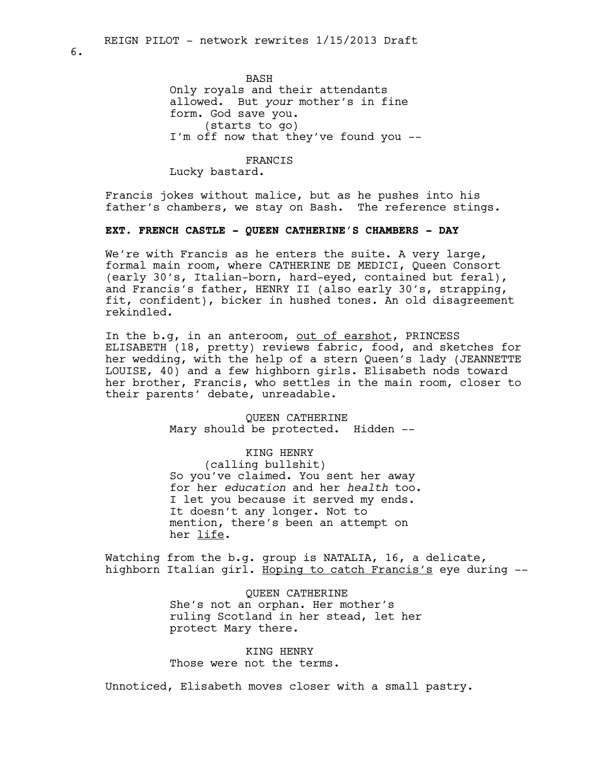BASH Only royals and their attendants allowed. But *your* mother's in fine form. God save you. (starts to go) I'm off now that they've found you --

FRANCIS Lucky bastard.

Francis jokes without malice, but as he pushes into his father's chambers, we stay on Bash. The reference stings.

# **EXT. FRENCH CASTLE - QUEEN CATHERINE'S CHAMBERS - DAY**

We're with Francis as he enters the suite. A very large, formal main room, where CATHERINE DE MEDICI, Queen Consort (early 30's, Italian-born, hard-eyed, contained but feral), and Francis's father, HENRY II (also early 30's, strapping, fit, confident), bicker in hushed tones. An old disagreement rekindled.

In the b.g, in an anteroom, out of earshot, PRINCESS ELISABETH (18, pretty) reviews fabric, food, and sketches for her wedding, with the help of a stern Queen's lady (JEANNETTE LOUISE, 40) and a few highborn girls. Elisabeth nods toward her brother, Francis, who settles in the main room, closer to their parents' debate, unreadable.

> QUEEN CATHERINE Mary should be protected. Hidden --

#### KING HENRY

(calling bullshit) So you've claimed. You sent her away for her *education* and her *health* too. I let you because it served my ends. It doesn't any longer. Not to mention, there's been an attempt on her life.

Watching from the b.g. group is NATALIA, 16, a delicate, highborn Italian girl. Hoping to catch Francis's eye during --

> QUEEN CATHERINE She's not an orphan. Her mother's ruling Scotland in her stead, let her protect Mary there.

KING HENRY Those were not the terms.

Unnoticed, Elisabeth moves closer with a small pastry.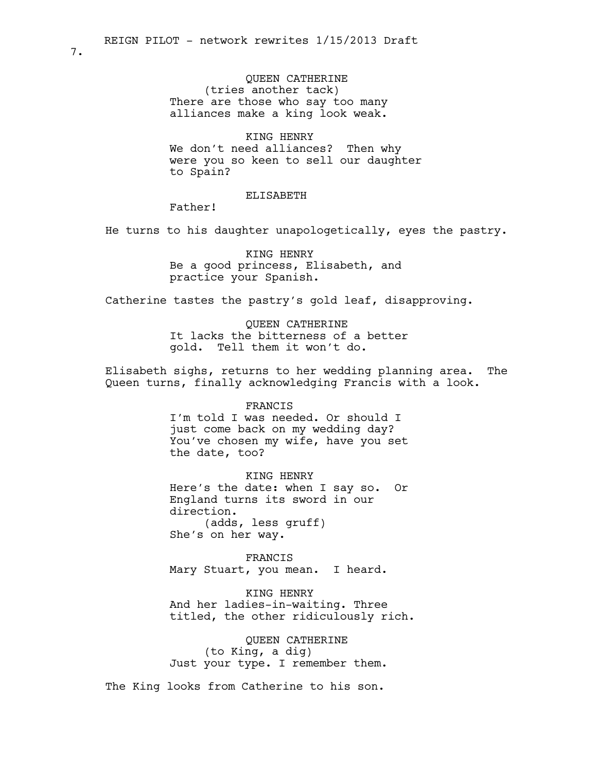QUEEN CATHERINE (tries another tack) There are those who say too many alliances make a king look weak.

KING HENRY We don't need alliances? Then why were you so keen to sell our daughter to Spain?

#### ELISABETH

Father!

He turns to his daughter unapologetically, eyes the pastry.

KING HENRY Be a good princess, Elisabeth, and practice your Spanish.

Catherine tastes the pastry's gold leaf, disapproving.

QUEEN CATHERINE It lacks the bitterness of a better gold. Tell them it won't do.

Elisabeth sighs, returns to her wedding planning area. The Queen turns, finally acknowledging Francis with a look.

#### FRANCIS

I'm told I was needed. Or should I just come back on my wedding day? You've chosen my wife, have you set the date, too?

KING HENRY Here's the date: when I say so. Or England turns its sword in our direction. (adds, less gruff) She's on her way.

FRANCIS Mary Stuart, you mean. I heard.

KING HENRY And her ladies-in-waiting. Three titled, the other ridiculously rich.

QUEEN CATHERINE (to King, a dig) Just your type. I remember them.

The King looks from Catherine to his son.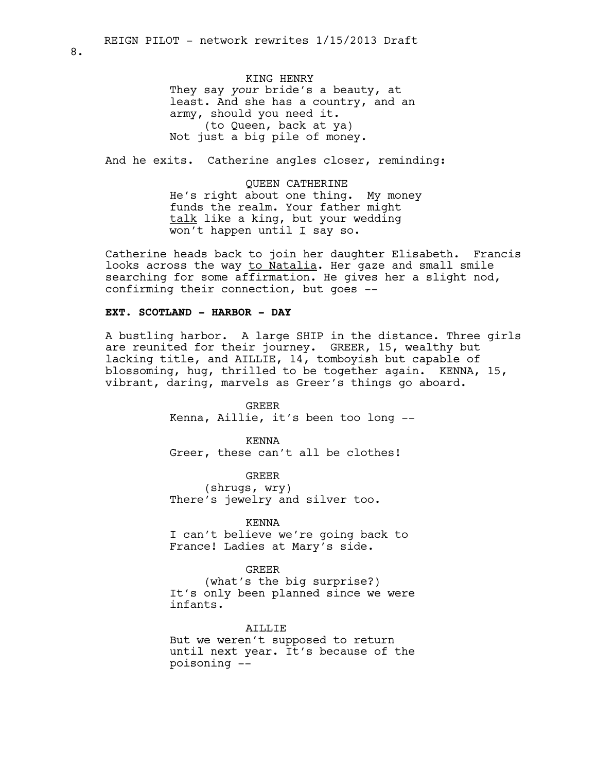KING HENRY They say *your* bride's a beauty, at least. And she has a country, and an army, should you need it. (to Queen, back at ya) Not just a big pile of money.

And he exits. Catherine angles closer, reminding:

QUEEN CATHERINE He's right about one thing. My money funds the realm. Your father might talk like a king, but your wedding won't happen until  $I$  say so.

Catherine heads back to join her daughter Elisabeth. Francis looks across the way to Natalia. Her gaze and small smile searching for some affirmation. He gives her a slight nod, confirming their connection, but goes --

# **EXT. SCOTLAND - HARBOR - DAY**

A bustling harbor. A large SHIP in the distance. Three girls are reunited for their journey. GREER, 15, wealthy but lacking title, and AILLIE, 14, tomboyish but capable of blossoming, hug, thrilled to be together again. KENNA, 15, vibrant, daring, marvels as Greer's things go aboard.

> GREER Kenna, Aillie, it's been too long --

KENNA Greer, these can't all be clothes!

GREER (shrugs, wry) There's jewelry and silver too.

#### KENNA

I can't believe we're going back to France! Ladies at Mary's side.

### GREER

(what's the big surprise?) It's only been planned since we were infants.

### AILLIE

But we weren't supposed to return until next year. It's because of the poisoning --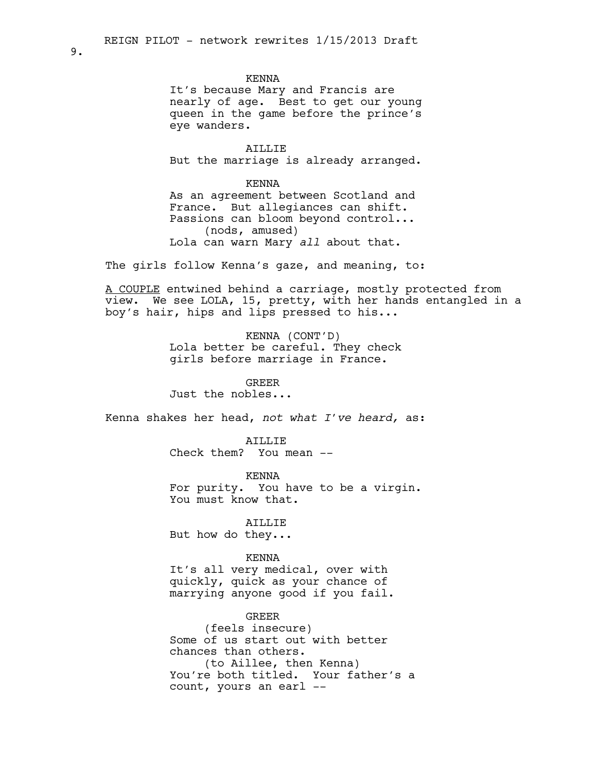#### KENNA

It's because Mary and Francis are nearly of age. Best to get our young queen in the game before the prince's eye wanders.

AILLIE But the marriage is already arranged.

KENNA

As an agreement between Scotland and France. But allegiances can shift. Passions can bloom beyond control... (nods, amused) Lola can warn Mary *all* about that.

The girls follow Kenna's gaze, and meaning, to:

A COUPLE entwined behind a carriage, mostly protected from view. We see LOLA, 15, pretty, with her hands entangled in a boy's hair, hips and lips pressed to his...

> KENNA (CONT'D) Lola better be careful. They check girls before marriage in France.

> > GREER

Just the nobles...

Kenna shakes her head, *not what I've heard,* as:

AILLIE

Check them? You mean --

KENNA For purity. You have to be a virgin. You must know that.

**ATLLIE** 

But how do they...

#### KENNA

It's all very medical, over with quickly, quick as your chance of marrying anyone good if you fail.

GREER (feels insecure) Some of us start out with better chances than others. (to Aillee, then Kenna) You're both titled. Your father's a count, yours an earl --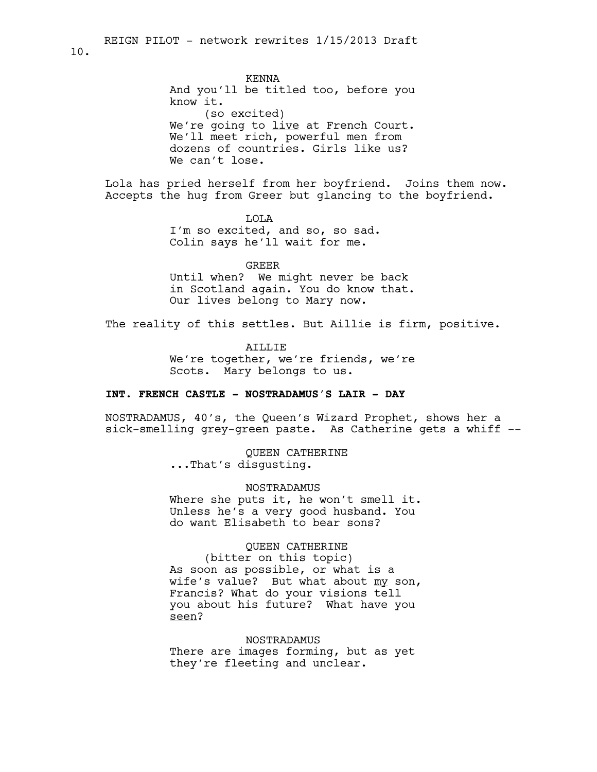KENNA And you'll be titled too, before you know it. (so excited) We're going to live at French Court. We'll meet rich, powerful men from dozens of countries. Girls like us? We can't lose.

Lola has pried herself from her boyfriend. Joins them now. Accepts the hug from Greer but glancing to the boyfriend.

> LOLA I'm so excited, and so, so sad. Colin says he'll wait for me.

GREER Until when? We might never be back in Scotland again. You do know that. Our lives belong to Mary now.

The reality of this settles. But Aillie is firm, positive.

AILLIE We're together, we're friends, we're Scots. Mary belongs to us.

### **INT. FRENCH CASTLE - NOSTRADAMUS'S LAIR - DAY**

NOSTRADAMUS, 40's, the Queen's Wizard Prophet, shows her a sick-smelling grey-green paste. As Catherine gets a whiff --

> QUEEN CATHERINE ...That's disgusting.

NOSTRADAMUS Where she puts it, he won't smell it. Unless he's a very good husband. You do want Elisabeth to bear sons?

# QUEEN CATHERINE

(bitter on this topic) As soon as possible, or what is a wife's value? But what about my son, Francis? What do your visions tell you about his future? What have you seen?

NOSTRADAMUS There are images forming, but as yet they're fleeting and unclear.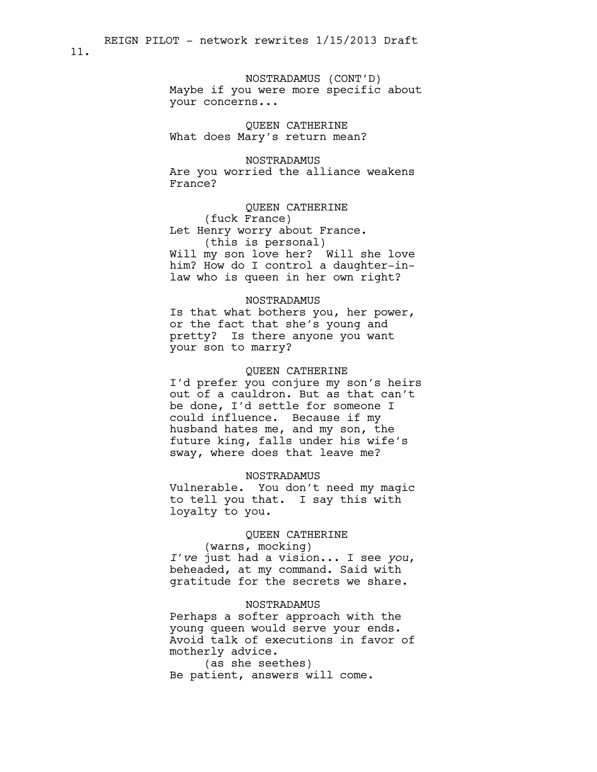NOSTRADAMUS (CONT'D) Maybe if you were more specific about your concerns...

QUEEN CATHERINE What does Mary's return mean?

NOSTRADAMUS Are you worried the alliance weakens France?

QUEEN CATHERINE (fuck France) Let Henry worry about France. (this is personal) Will my son love her? Will she love him? How do I control a daughter-inlaw who is queen in her own right?

#### NOSTRADAMUS

Is that what bothers you, her power, or the fact that she's young and pretty? Is there anyone you want your son to marry?

### QUEEN CATHERINE

I'd prefer you conjure my son's heirs out of a cauldron. But as that can't be done, I'd settle for someone I could influence. Because if my husband hates me, and my son, the future king, falls under his wife's sway, where does that leave me?

#### NOSTRADAMUS

Vulnerable. You don't need my magic to tell you that. I say this with loyalty to you.

#### QUEEN CATHERINE

(warns, mocking) *I've* just had a vision... I see *you*, beheaded, at my command. Said with gratitude for the secrets we share.

### NOSTRADAMUS

Perhaps a softer approach with the young queen would serve your ends. Avoid talk of executions in favor of motherly advice.

(as she seethes) Be patient, answers will come.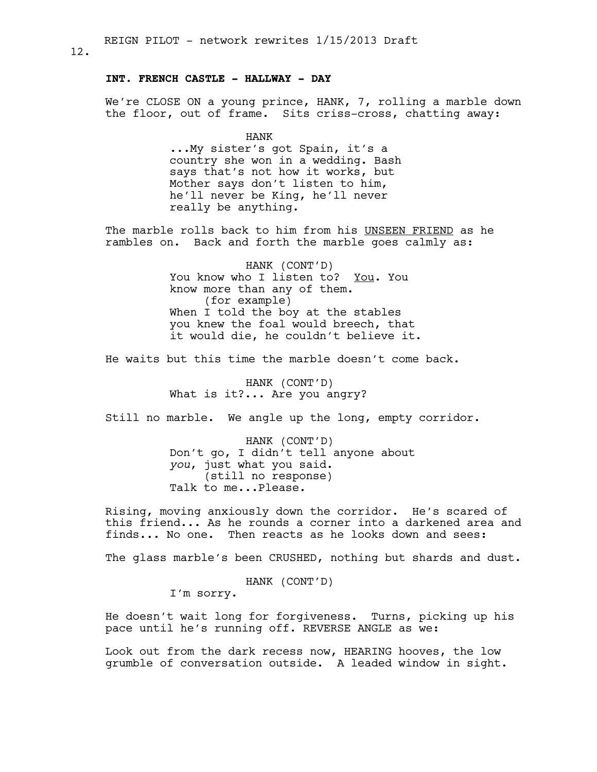### **INT. FRENCH CASTLE - HALLWAY - DAY**

We're CLOSE ON a young prince, HANK, 7, rolling a marble down the floor, out of frame. Sits criss-cross, chatting away:

> HANK ...My sister's got Spain, it's a country she won in a wedding. Bash says that's not how it works, but Mother says don't listen to him, he'll never be King, he'll never really be anything.

The marble rolls back to him from his UNSEEN FRIEND as he rambles on. Back and forth the marble goes calmly as:

> HANK (CONT'D) You know who I listen to? You. You know more than any of them. (for example) When I told the boy at the stables you knew the foal would breech, that it would die, he couldn't believe it.

He waits but this time the marble doesn't come back.

HANK (CONT'D) What is it?... Are you angry?

Still no marble. We angle up the long, empty corridor.

HANK (CONT'D) Don't go, I didn't tell anyone about *you*, just what you said. (still no response) Talk to me...Please.

Rising, moving anxiously down the corridor. He's scared of this friend... As he rounds a corner into a darkened area and finds... No one. Then reacts as he looks down and sees:

The glass marble's been CRUSHED, nothing but shards and dust.

HANK (CONT'D)

I'm sorry.

He doesn't wait long for forgiveness. Turns, picking up his pace until he's running off. REVERSE ANGLE as we:

Look out from the dark recess now, HEARING hooves, the low grumble of conversation outside. A leaded window in sight.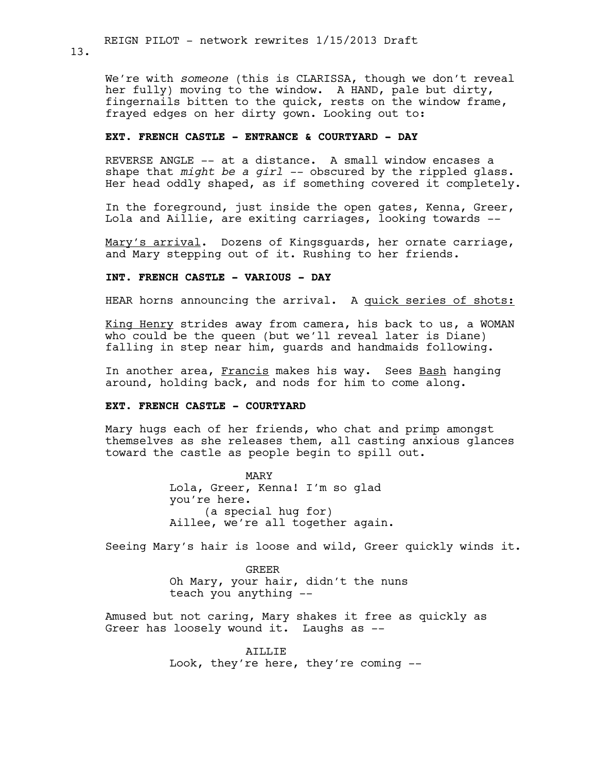13.

We're with *someone* (this is CLARISSA, though we don't reveal her fully) moving to the window. A HAND, pale but dirty, fingernails bitten to the quick, rests on the window frame, frayed edges on her dirty gown. Looking out to:

### **EXT. FRENCH CASTLE - ENTRANCE & COURTYARD - DAY**

REVERSE ANGLE -- at a distance. A small window encases a shape that *might be a girl --* obscured by the rippled glass. Her head oddly shaped, as if something covered it completely.

In the foreground, just inside the open gates, Kenna, Greer, Lola and Aillie, are exiting carriages, looking towards --

Mary's arrival. Dozens of Kingsguards, her ornate carriage, and Mary stepping out of it. Rushing to her friends.

### **INT. FRENCH CASTLE - VARIOUS - DAY**

HEAR horns announcing the arrival. A quick series of shots:

King Henry strides away from camera, his back to us, a WOMAN who could be the queen (but we'll reveal later is Diane) falling in step near him, guards and handmaids following.

In another area, Francis makes his way. Sees Bash hanging around, holding back, and nods for him to come along.

### **EXT. FRENCH CASTLE - COURTYARD**

Mary hugs each of her friends, who chat and primp amongst themselves as she releases them, all casting anxious glances toward the castle as people begin to spill out.

> MARY Lola, Greer, Kenna! I'm so glad you're here. (a special hug for) Aillee, we're all together again.

Seeing Mary's hair is loose and wild, Greer quickly winds it.

GREER Oh Mary, your hair, didn't the nuns teach you anything --

Amused but not caring, Mary shakes it free as quickly as Greer has loosely wound it. Laughs as --

> AILLIE Look, they're here, they're coming --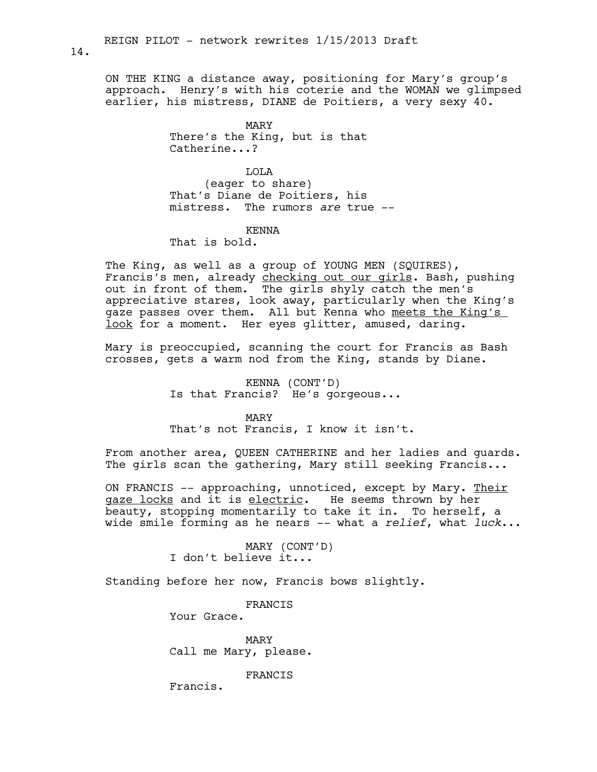ON THE KING a distance away, positioning for Mary's group's approach. Henry's with his coterie and the WOMAN we glimpsed earlier, his mistress, DIANE de Poitiers, a very sexy 40.

> MARY There's the King, but is that Catherine...?

LOLA (eager to share) That's Diane de Poitiers, his mistress. The rumors *are* true --

# KENNA

That is bold.

The King, as well as a group of YOUNG MEN (SQUIRES), Francis's men, already checking out our girls. Bash, pushing out in front of them. The girls shyly catch the men's appreciative stares, look away, particularly when the King's gaze passes over them. All but Kenna who meets the King's look for a moment. Her eyes glitter, amused, daring.

Mary is preoccupied, scanning the court for Francis as Bash crosses, gets a warm nod from the King, stands by Diane.

> KENNA (CONT'D) Is that Francis? He's gorgeous...

> > MARY

That's not Francis, I know it isn't.

From another area, QUEEN CATHERINE and her ladies and guards. The girls scan the gathering, Mary still seeking Francis...

ON FRANCIS -- approaching, unnoticed, except by Mary. Their gaze locks and it is electric. He seems thrown by her beauty, stopping momentarily to take it in. To herself, a wide smile forming as he nears -- what a *relief*, what *luck*...

> MARY (CONT'D) I don't believe it...

Standing before her now, Francis bows slightly.

FRANCIS

Your Grace.

MARY Call me Mary, please.

FRANCIS

Francis.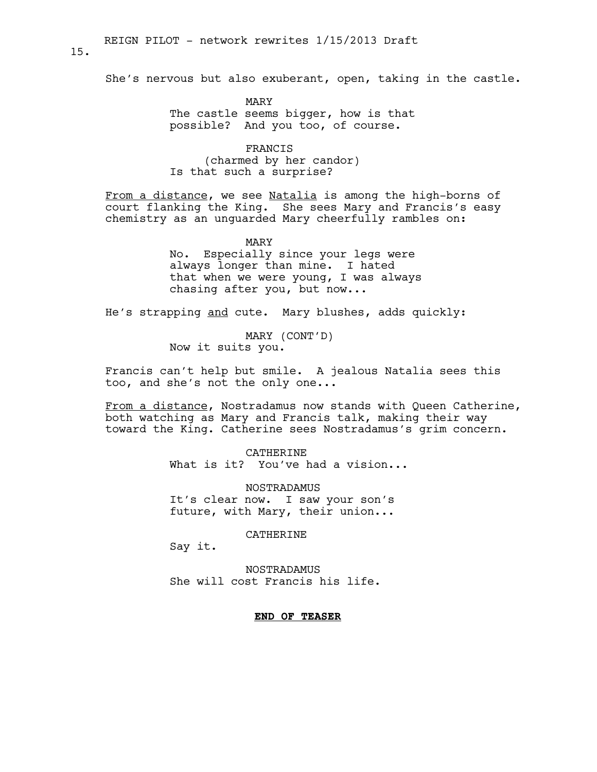She's nervous but also exuberant, open, taking in the castle.

MARY The castle seems bigger, how is that possible? And you too, of course.

FRANCIS (charmed by her candor) Is that such a surprise?

From a distance, we see Natalia is among the high-borns of court flanking the King. She sees Mary and Francis's easy chemistry as an unguarded Mary cheerfully rambles on:

> MARY No. Especially since your legs were always longer than mine. I hated that when we were young, I was always chasing after you, but now...

He's strapping and cute. Mary blushes, adds quickly:

MARY (CONT'D) Now it suits you.

Francis can't help but smile. A jealous Natalia sees this too, and she's not the only one...

From a distance, Nostradamus now stands with Queen Catherine, both watching as Mary and Francis talk, making their way toward the King. Catherine sees Nostradamus's grim concern.

> CATHERINE What is it? You've had a vision...

NOSTRADAMUS It's clear now. I saw your son's future, with Mary, their union...

CATHERINE

Say it.

NOSTRADAMUS She will cost Francis his life.

# **END OF TEASER**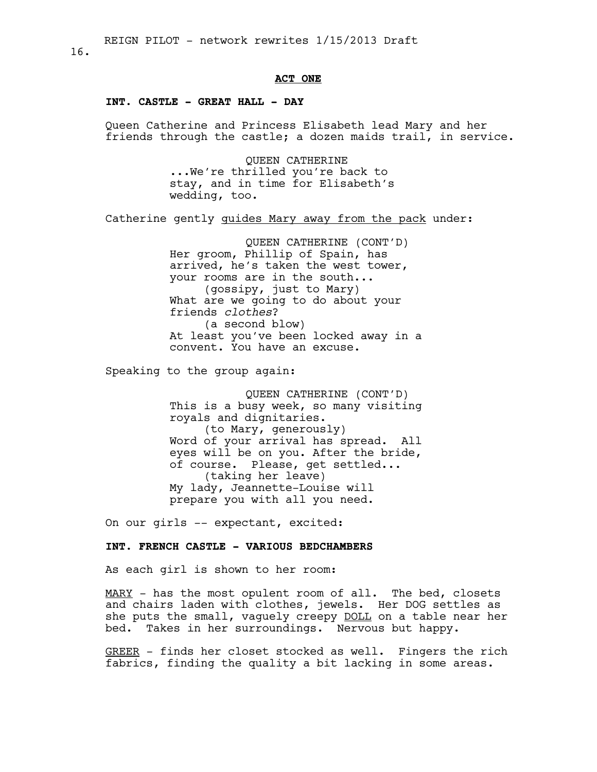#### 16.

### **ACT ONE**

# **INT. CASTLE - GREAT HALL - DAY**

Queen Catherine and Princess Elisabeth lead Mary and her friends through the castle; a dozen maids trail, in service.

> QUEEN CATHERINE ...We're thrilled you're back to stay, and in time for Elisabeth's wedding, too.

Catherine gently guides Mary away from the pack under:

QUEEN CATHERINE (CONT'D) Her groom, Phillip of Spain, has arrived, he's taken the west tower, your rooms are in the south... (gossipy, just to Mary) What are we going to do about your friends *clothes*? (a second blow) At least you've been locked away in a convent. You have an excuse.

Speaking to the group again:

QUEEN CATHERINE (CONT'D) This is a busy week, so many visiting royals and dignitaries. (to Mary, generously) Word of your arrival has spread. All eyes will be on you. After the bride, of course. Please, get settled... (taking her leave) My lady, Jeannette-Louise will prepare you with all you need.

On our girls -- expectant, excited:

### **INT. FRENCH CASTLE - VARIOUS BEDCHAMBERS**

As each girl is shown to her room:

MARY - has the most opulent room of all. The bed, closets and chairs laden with clothes, jewels. Her DOG settles as she puts the small, vaguely creepy DOLL on a table near her bed. Takes in her surroundings. Nervous but happy.

GREER - finds her closet stocked as well. Fingers the rich fabrics, finding the quality a bit lacking in some areas.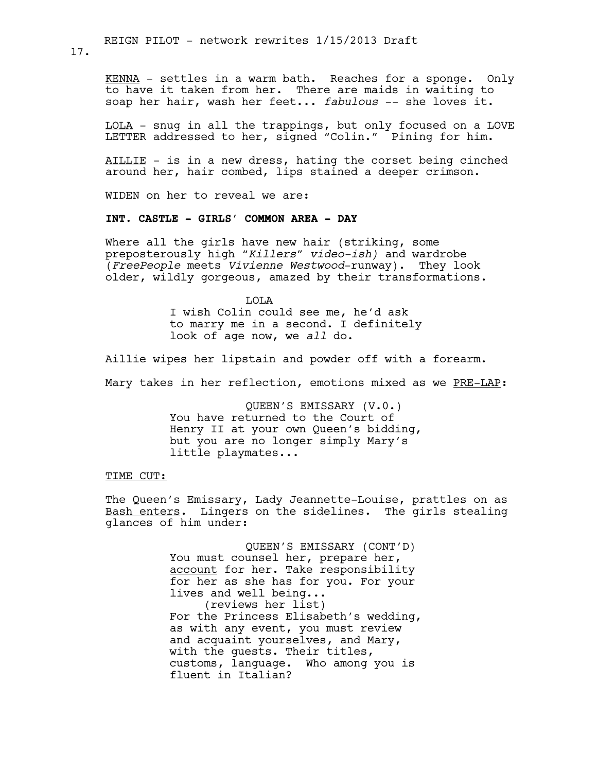KENNA - settles in a warm bath. Reaches for a sponge. Only to have it taken from her. There are maids in waiting to soap her hair, wash her feet... *fabulous* -- she loves it.

LOLA - snug in all the trappings, but only focused on a LOVE LETTER addressed to her, signed "Colin." Pining for him.

AILLIE - is in a new dress, hating the corset being cinched around her, hair combed, lips stained a deeper crimson.

WIDEN on her to reveal we are:

### **INT. CASTLE - GIRLS' COMMON AREA - DAY**

Where all the girls have new hair (striking, some preposterously high *"Killers" video-ish)* and wardrobe (*FreePeople* meets *Vivienne Westwood*-runway). They look older, wildly gorgeous, amazed by their transformations.

> LOLA I wish Colin could see me, he'd ask to marry me in a second. I definitely look of age now, we *all* do.

Aillie wipes her lipstain and powder off with a forearm.

Mary takes in her reflection, emotions mixed as we PRE-LAP:

QUEEN'S EMISSARY (V.0.) You have returned to the Court of Henry II at your own Queen's bidding, but you are no longer simply Mary's little playmates...

#### TIME CUT:

The Queen's Emissary, Lady Jeannette-Louise, prattles on as Bash enters. Lingers on the sidelines. The girls stealing glances of him under:

> QUEEN'S EMISSARY (CONT'D) You must counsel her, prepare her, account for her. Take responsibility for her as she has for you. For your lives and well being... (reviews her list) For the Princess Elisabeth's wedding, as with any event, you must review and acquaint yourselves, and Mary, with the guests. Their titles, customs, language. Who among you is fluent in Italian?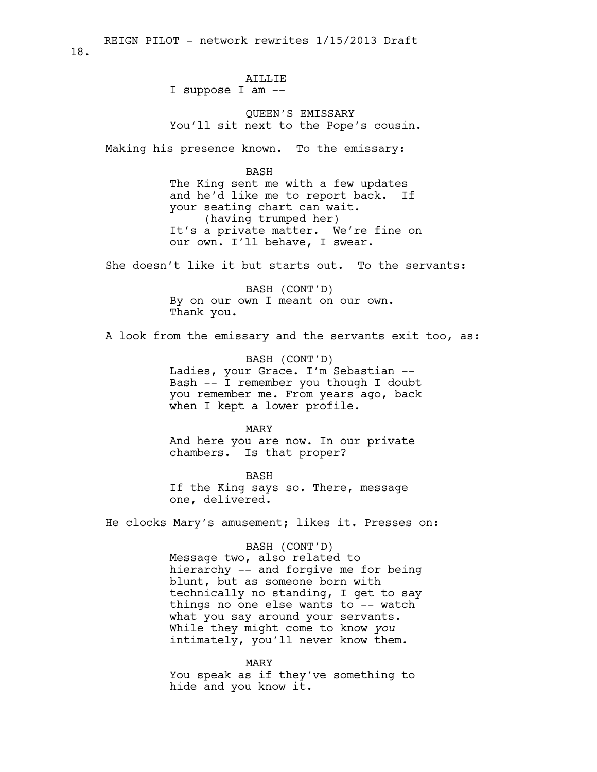# AILLIE

I suppose I am --

QUEEN'S EMISSARY You'll sit next to the Pope's cousin.

Making his presence known. To the emissary:

#### BASH

The King sent me with a few updates and he'd like me to report back. If your seating chart can wait. (having trumped her) It's a private matter. We're fine on our own. I'll behave, I swear.

She doesn't like it but starts out. To the servants:

BASH (CONT'D) By on our own I meant on our own. Thank you.

A look from the emissary and the servants exit too, as:

BASH (CONT'D) Ladies, your Grace. I'm Sebastian -- Bash -- I remember you though I doubt you remember me. From years ago, back when I kept a lower profile.

#### MARY

And here you are now. In our private chambers. Is that proper?

BASH If the King says so. There, message one, delivered.

He clocks Mary's amusement; likes it. Presses on:

#### BASH (CONT'D)

Message two, also related to hierarchy -- and forgive me for being blunt, but as someone born with technically no standing, I get to say things no one else wants to -- watch what you say around your servants. While they might come to know *you* intimately, you'll never know them.

MARY You speak as if they've something to hide and you know it.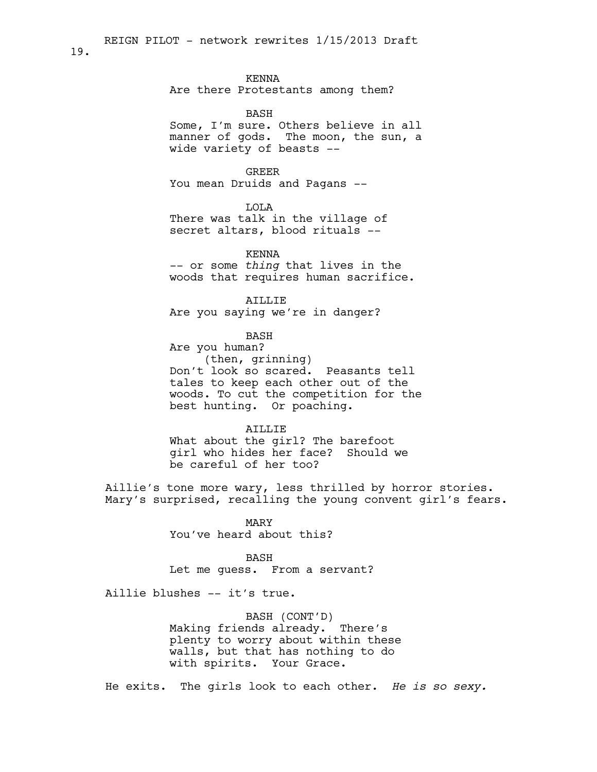#### KENNA

Are there Protestants among them?

#### BASH

Some, I'm sure. Others believe in all manner of gods. The moon, the sun, a wide variety of beasts --

#### GREER

You mean Druids and Pagans --

# LOLA

There was talk in the village of secret altars, blood rituals --

KENNA

-- or some *thing* that lives in the woods that requires human sacrifice.

AILLIE

Are you saying we're in danger?

BASH

Are you human? (then, grinning) Don't look so scared. Peasants tell tales to keep each other out of the woods. To cut the competition for the best hunting. Or poaching.

# AILLIE

What about the girl? The barefoot girl who hides her face? Should we be careful of her too?

Aillie's tone more wary, less thrilled by horror stories. Mary's surprised, recalling the young convent girl's fears.

> MARY You've heard about this?

#### BASH

Let me guess. From a servant?

Aillie blushes -- it's true.

BASH (CONT'D) Making friends already. There's plenty to worry about within these walls, but that has nothing to do with spirits. Your Grace.

He exits. The girls look to each other. *He is so sexy.*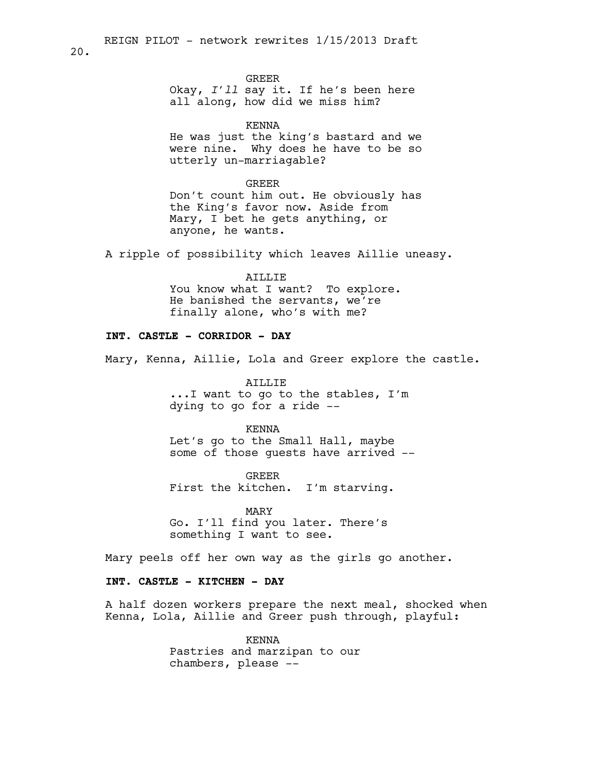GREER

Okay, *I'll* say it. If he's been here all along, how did we miss him?

KENNA

He was just the king's bastard and we were nine. Why does he have to be so utterly un-marriagable?

GREER Don't count him out. He obviously has the King's favor now. Aside from Mary, I bet he gets anything, or anyone, he wants.

A ripple of possibility which leaves Aillie uneasy.

# AILLIE You know what I want? To explore. He banished the servants, we're finally alone, who's with me?

# **INT. CASTLE - CORRIDOR - DAY**

20.

Mary, Kenna, Aillie, Lola and Greer explore the castle.

AILLIE ...I want to go to the stables, I'm dying to go for a ride --

KENNA

Let's go to the Small Hall, maybe some of those guests have arrived --

GREER First the kitchen. I'm starving.

MARY Go. I'll find you later. There's something I want to see.

Mary peels off her own way as the girls go another.

### **INT. CASTLE - KITCHEN - DAY**

A half dozen workers prepare the next meal, shocked when Kenna, Lola, Aillie and Greer push through, playful:

> KENNA Pastries and marzipan to our chambers, please --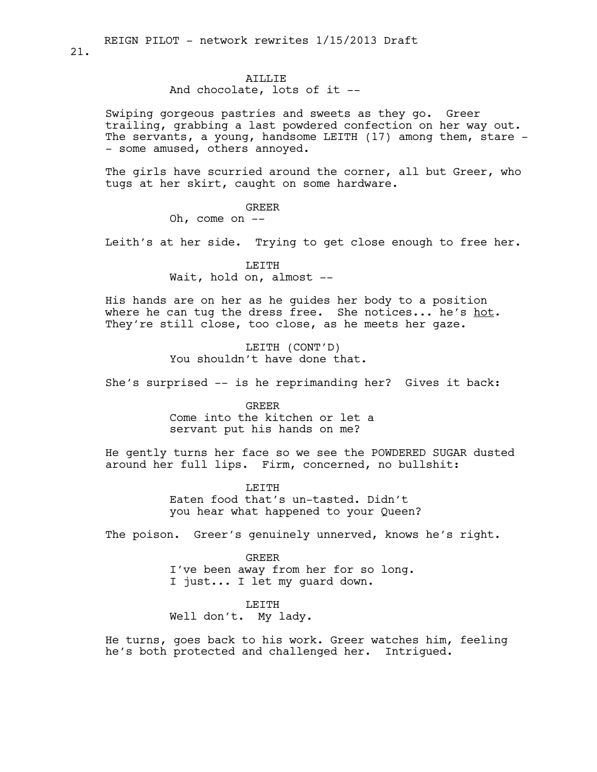### AILLIE

And chocolate, lots of it --

Swiping gorgeous pastries and sweets as they go. Greer trailing, grabbing a last powdered confection on her way out. The servants, a young, handsome LEITH (17) among them, stare -- some amused, others annoyed.

The girls have scurried around the corner, all but Greer, who tugs at her skirt, caught on some hardware.

GREER

Oh, come on --

Leith's at her side. Trying to get close enough to free her.

LETTH Wait, hold on, almost --

His hands are on her as he guides her body to a position where he can tug the dress free. She notices... he's hot. They're still close, too close, as he meets her gaze.

> LEITH (CONT'D) You shouldn't have done that.

She's surprised -- is he reprimanding her? Gives it back:

GREER Come into the kitchen or let a servant put his hands on me?

He gently turns her face so we see the POWDERED SUGAR dusted around her full lips. Firm, concerned, no bullshit:

> **LETTH** Eaten food that's un-tasted. Didn't you hear what happened to your Queen?

The poison. Greer's genuinely unnerved, knows he's right.

GREER I've been away from her for so long. I just... I let my guard down.

LEITH Well don't. My lady.

He turns, goes back to his work. Greer watches him, feeling he's both protected and challenged her. Intrigued.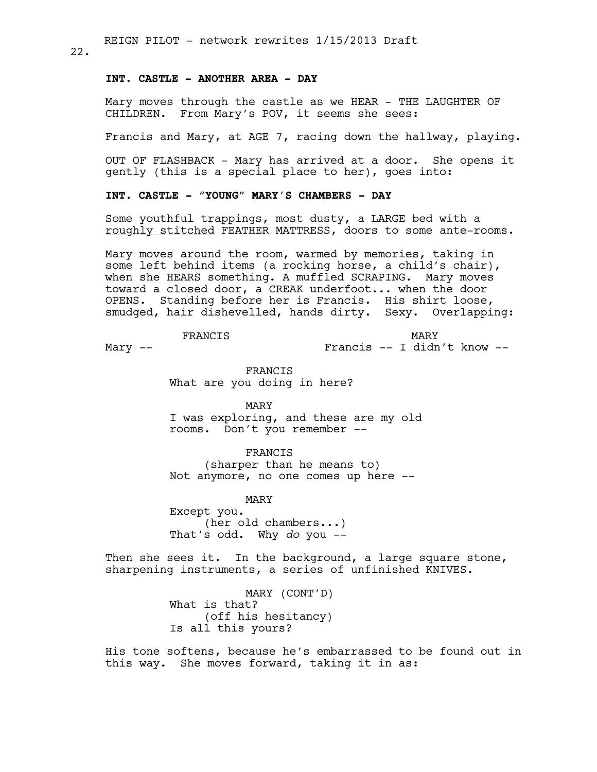22.

# **INT. CASTLE - ANOTHER AREA - DAY**

Mary moves through the castle as we HEAR - THE LAUGHTER OF CHILDREN. From Mary's POV, it seems she sees:

Francis and Mary, at AGE 7, racing down the hallway, playing.

OUT OF FLASHBACK - Mary has arrived at a door. She opens it gently (this is a special place to her), goes into:

# **INT. CASTLE - "YOUNG" MARY'S CHAMBERS - DAY**

Some youthful trappings, most dusty, a LARGE bed with a roughly stitched FEATHER MATTRESS, doors to some ante-rooms.

Mary moves around the room, warmed by memories, taking in some left behind items (a rocking horse, a child's chair), when she HEARS something. A muffled SCRAPING. Mary moves toward a closed door, a CREAK underfoot... when the door OPENS. Standing before her is Francis. His shirt loose, smudged, hair dishevelled, hands dirty. Sexy. Overlapping:

FRANCIS

Mary --

MARY Francis -- I didn't know --

FRANCIS What are you doing in here?

MARY I was exploring, and these are my old rooms. Don't you remember --

FRANCIS (sharper than he means to) Not anymore, no one comes up here --

MARY

Except you. (her old chambers...) That's odd. Why *do* you --

Then she sees it. In the background, a large square stone, sharpening instruments, a series of unfinished KNIVES.

> MARY (CONT'D) What is that? (off his hesitancy) Is all this yours?

His tone softens, because he's embarrassed to be found out in this way. She moves forward, taking it in as: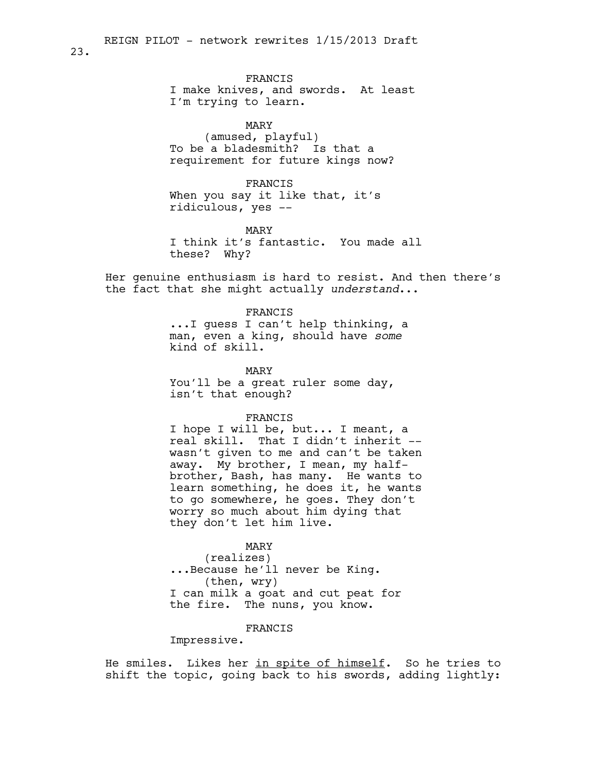FRANCIS I make knives, and swords. At least I'm trying to learn.

MARY (amused, playful) To be a bladesmith? Is that a requirement for future kings now?

FRANCIS When you say it like that, it's ridiculous, yes --

MARY I think it's fantastic. You made all these? Why?

Her genuine enthusiasm is hard to resist. And then there's the fact that she might actually *understand*...

> FRANCIS ...I guess I can't help thinking, a man, even a king, should have *some* kind of skill.

MARY You'll be a great ruler some day, isn't that enough?

#### FRANCIS

I hope I will be, but... I meant, a real skill. That I didn't inherit - wasn't given to me and can't be taken away. My brother, I mean, my halfbrother, Bash, has many. He wants to learn something, he does it, he wants to go somewhere, he goes. They don't worry so much about him dying that they don't let him live.

#### MARY

(realizes) ...Because he'll never be King. (then, wry) I can milk a goat and cut peat for the fire. The nuns, you know.

# FRANCIS

Impressive.

He smiles. Likes her in spite of himself. So he tries to shift the topic, going back to his swords, adding lightly: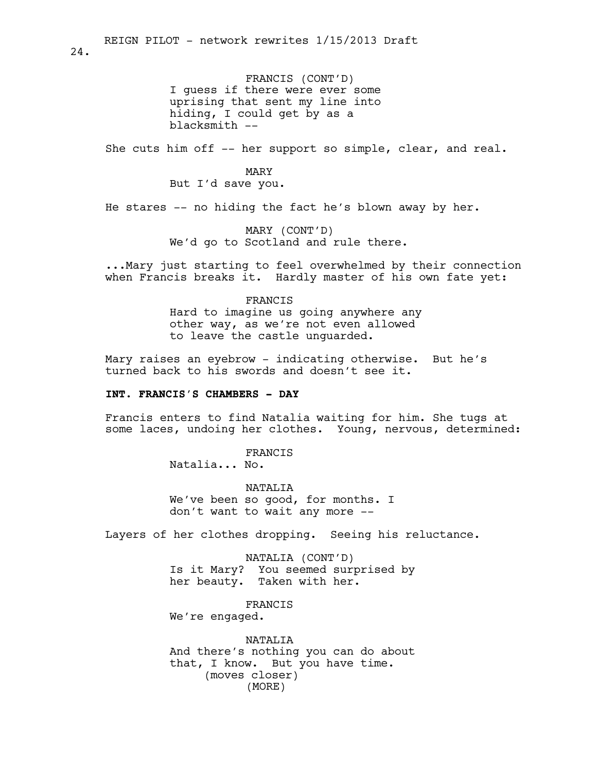FRANCIS (CONT'D) I guess if there were ever some uprising that sent my line into hiding, I could get by as a blacksmith --

She cuts him off  $-$ - her support so simple, clear, and real.

MARY But I'd save you.

He stares  $-$ - no hiding the fact he's blown away by her.

MARY (CONT'D) We'd go to Scotland and rule there.

...Mary just starting to feel overwhelmed by their connection when Francis breaks it. Hardly master of his own fate yet:

### FRANCIS

Hard to imagine us going anywhere any other way, as we're not even allowed to leave the castle unguarded.

Mary raises an eyebrow - indicating otherwise. But he's turned back to his swords and doesn't see it.

### **INT. FRANCIS'S CHAMBERS - DAY**

Francis enters to find Natalia waiting for him. She tugs at some laces, undoing her clothes. Young, nervous, determined:

FRANCIS

Natalia... No.

NATALIA We've been so good, for months. I don't want to wait any more --

Layers of her clothes dropping. Seeing his reluctance.

NATALIA (CONT'D) Is it Mary? You seemed surprised by her beauty. Taken with her.

FRANCIS

We're engaged.

NATALIA And there's nothing you can do about that, I know. But you have time. (moves closer) (MORE)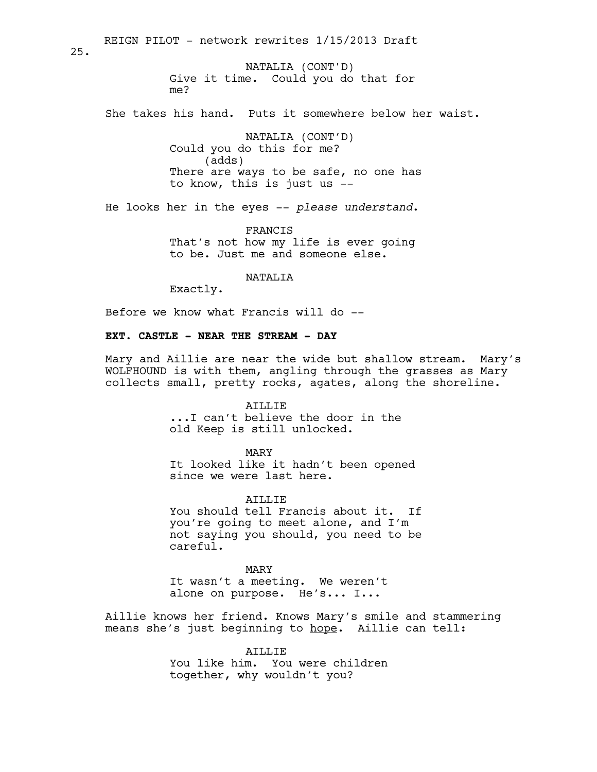Give it time. Could you do that for me? She takes his hand. Puts it somewhere below her waist. NATALIA (CONT'D) Could you do this for me? (adds) There are ways to be safe, no one has to know, this is just us -- He looks her in the eyes -- *please understand*. FRANCIS That's not how my life is ever going to be. Just me and someone else. REIGN PILOT - network rewrites 1/15/2013 Draft NATALIA (CONT'D)

NATALIA

Exactly.

Before we know what Francis will do --

# **EXT. CASTLE - NEAR THE STREAM - DAY**

Mary and Aillie are near the wide but shallow stream. Mary's WOLFHOUND is with them, angling through the grasses as Mary collects small, pretty rocks, agates, along the shoreline.

> AILLIE ...I can't believe the door in the old Keep is still unlocked.

MARY It looked like it hadn't been opened since we were last here.

AILLIE You should tell Francis about it. If you're going to meet alone, and I'm not saying you should, you need to be careful.

MARY It wasn't a meeting. We weren't alone on purpose. He's... I...

Aillie knows her friend. Knows Mary's smile and stammering means she's just beginning to hope. Aillie can tell:

> ATLLIF. You like him. You were children together, why wouldn't you?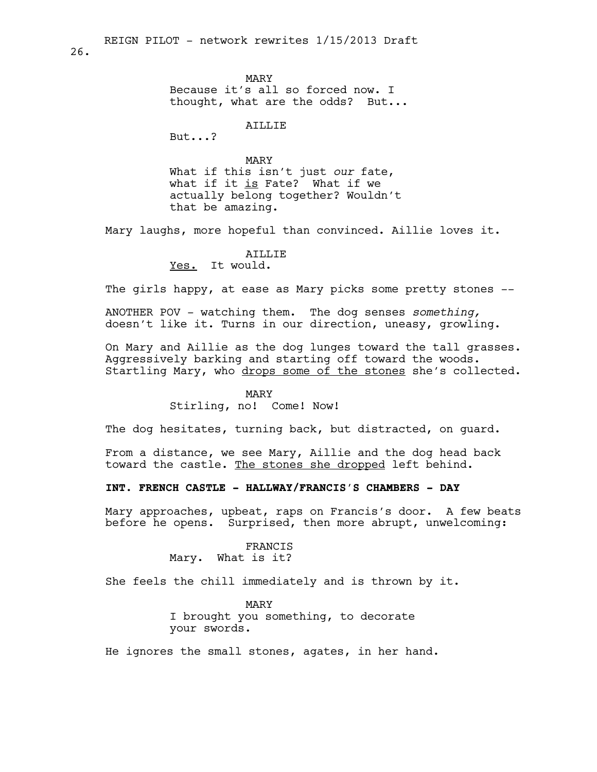MARY Because it's all so forced now. I thought, what are the odds? But...

AILLIE

But...?

MARY What if this isn't just *our* fate, what if it is Fate? What if we actually belong together? Wouldn't that be amazing.

Mary laughs, more hopeful than convinced. Aillie loves it.

#### AILLIE

Yes. It would.

The girls happy, at ease as Mary picks some pretty stones --

ANOTHER POV - watching them. The dog senses *something,* doesn't like it. Turns in our direction, uneasy, growling.

On Mary and Aillie as the dog lunges toward the tall grasses. Aggressively barking and starting off toward the woods. Startling Mary, who drops some of the stones she's collected.

#### MARY

Stirling, no! Come! Now!

The dog hesitates, turning back, but distracted, on guard.

From a distance, we see Mary, Aillie and the dog head back toward the castle. The stones she dropped left behind.

**INT. FRENCH CASTLE - HALLWAY/FRANCIS'S CHAMBERS - DAY**

Mary approaches, upbeat, raps on Francis's door. A few beats before he opens. Surprised, then more abrupt, unwelcoming:

> FRANCIS Mary. What is it?

She feels the chill immediately and is thrown by it.

MARY I brought you something, to decorate your swords.

He ignores the small stones, agates, in her hand.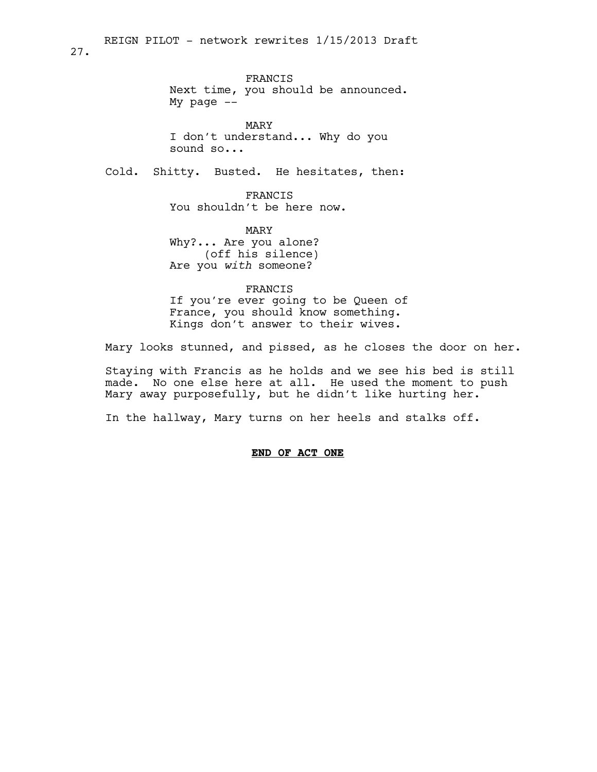FRANCIS Next time, you should be announced. My page  $--$ 

MARY I don't understand... Why do you sound so...

Cold. Shitty. Busted. He hesitates, then:

FRANCIS You shouldn't be here now.

MARY Why?... Are you alone? (off his silence) Are you *with* someone?

FRANCIS If you're ever going to be Queen of France, you should know something.

Kings don't answer to their wives.

Mary looks stunned, and pissed, as he closes the door on her.

Staying with Francis as he holds and we see his bed is still made. No one else here at all. He used the moment to push Mary away purposefully, but he didn't like hurting her.

In the hallway, Mary turns on her heels and stalks off.

### **END OF ACT ONE**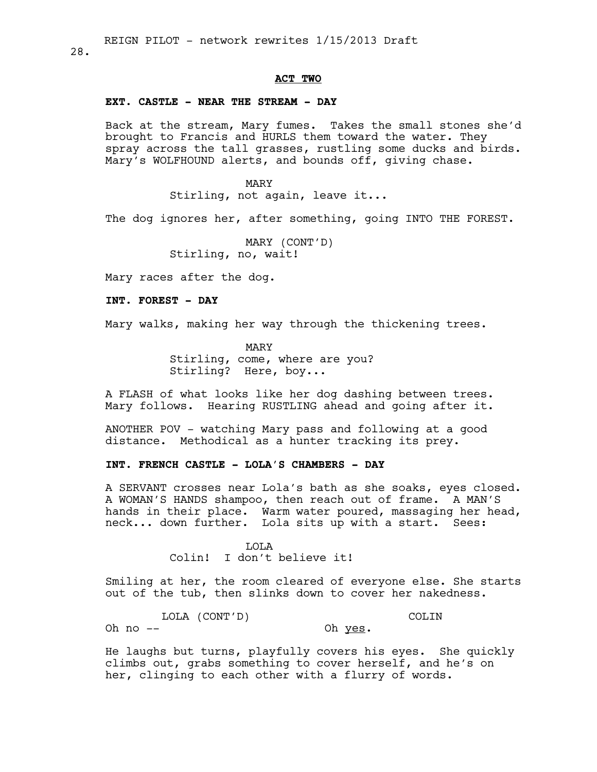# **ACT TWO**

# **EXT. CASTLE - NEAR THE STREAM - DAY**

Back at the stream, Mary fumes. Takes the small stones she'd brought to Francis and HURLS them toward the water. They spray across the tall grasses, rustling some ducks and birds. Mary's WOLFHOUND alerts, and bounds off, giving chase.

MARY

Stirling, not again, leave it...

The dog ignores her, after something, going INTO THE FOREST.

MARY (CONT'D) Stirling, no, wait!

Mary races after the dog.

**INT. FOREST - DAY**

Mary walks, making her way through the thickening trees.

MARY Stirling, come, where are you? Stirling? Here, boy...

A FLASH of what looks like her dog dashing between trees. Mary follows. Hearing RUSTLING ahead and going after it.

ANOTHER POV - watching Mary pass and following at a good distance. Methodical as a hunter tracking its prey.

# **INT. FRENCH CASTLE - LOLA'S CHAMBERS - DAY**

A SERVANT crosses near Lola's bath as she soaks, eyes closed. A WOMAN'S HANDS shampoo, then reach out of frame. A MAN'S hands in their place. Warm water poured, massaging her head, neck... down further. Lola sits up with a start. Sees:

> LOLA Colin! I don't believe it!

Smiling at her, the room cleared of everyone else. She starts out of the tub, then slinks down to cover her nakedness.

LOLA (CONT'D) Oh  $no$   $--$ COLIN Oh yes.

He laughs but turns, playfully covers his eyes. She quickly climbs out, grabs something to cover herself, and he's on her, clinging to each other with a flurry of words.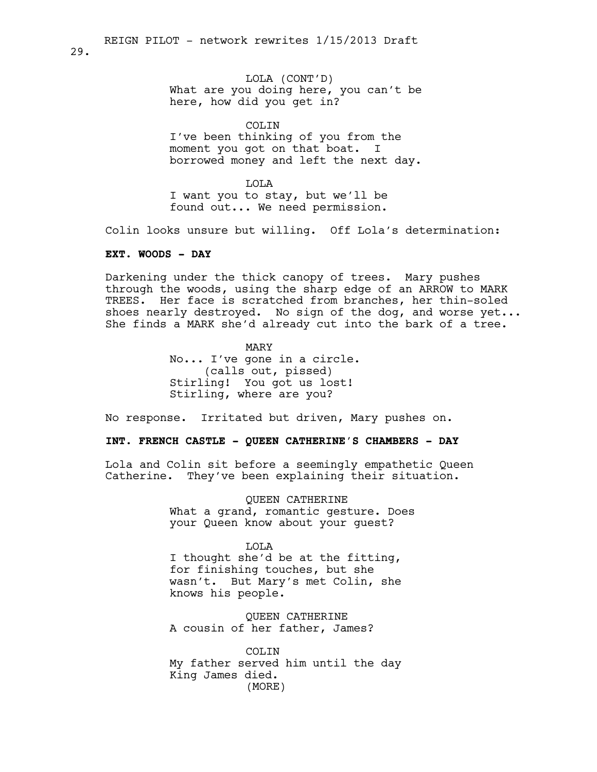LOLA (CONT'D) What are you doing here, you can't be here, how did you get in?

COLIN I've been thinking of you from the moment you got on that boat. I borrowed money and left the next day.

LOLA I want you to stay, but we'll be found out... We need permission.

Colin looks unsure but willing. Off Lola's determination:

### **EXT. WOODS - DAY**

Darkening under the thick canopy of trees. Mary pushes through the woods, using the sharp edge of an ARROW to MARK TREES. Her face is scratched from branches, her thin-soled shoes nearly destroyed. No sign of the dog, and worse yet... She finds a MARK she'd already cut into the bark of a tree.

> MARY No... I've gone in a circle. (calls out, pissed) Stirling! You got us lost! Stirling, where are you?

No response. Irritated but driven, Mary pushes on.

# **INT. FRENCH CASTLE - QUEEN CATHERINE'S CHAMBERS - DAY**

Lola and Colin sit before a seemingly empathetic Queen Catherine. They've been explaining their situation.

> QUEEN CATHERINE What a grand, romantic gesture. Does your Queen know about your guest?

#### LOLA

I thought she'd be at the fitting, for finishing touches, but she wasn't. But Mary's met Colin, she knows his people.

QUEEN CATHERINE A cousin of her father, James?

COLIN My father served him until the day King James died. (MORE)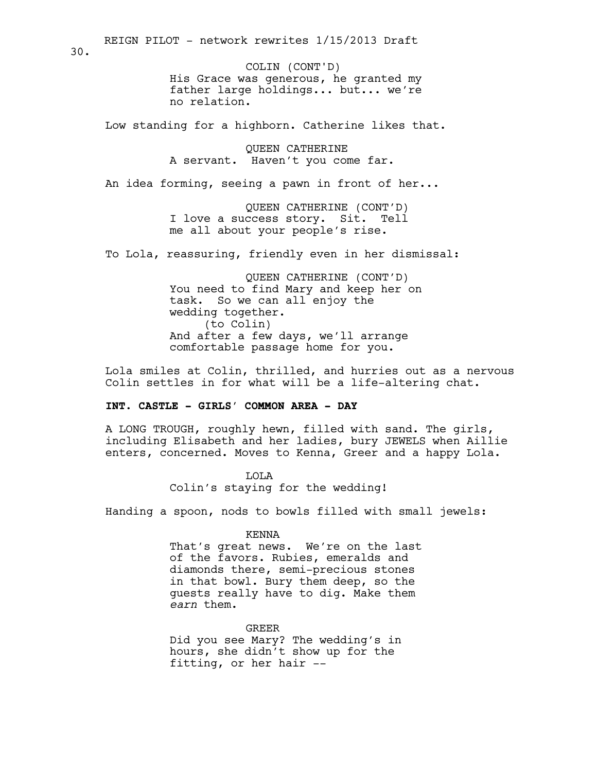His Grace was generous, he granted my father large holdings... but... we're no relation. COLIN (CONT'D)

Low standing for a highborn. Catherine likes that.

QUEEN CATHERINE A servant. Haven't you come far.

An idea forming, seeing a pawn in front of her...

QUEEN CATHERINE (CONT'D) I love a success story. Sit. Tell me all about your people's rise.

To Lola, reassuring, friendly even in her dismissal:

QUEEN CATHERINE (CONT'D) You need to find Mary and keep her on task. So we can all enjoy the wedding together. (to Colin) And after a few days, we'll arrange comfortable passage home for you.

Lola smiles at Colin, thrilled, and hurries out as a nervous Colin settles in for what will be a life-altering chat.

# **INT. CASTLE - GIRLS' COMMON AREA - DAY**

A LONG TROUGH, roughly hewn, filled with sand. The girls, including Elisabeth and her ladies, bury JEWELS when Aillie enters, concerned. Moves to Kenna, Greer and a happy Lola.

> LOLA Colin's staying for the wedding!

Handing a spoon, nods to bowls filled with small jewels:

#### KENNA

That's great news. We're on the last of the favors. Rubies, emeralds and diamonds there, semi-precious stones in that bowl. Bury them deep, so the guests really have to dig. Make them *earn* them.

GREER

Did you see Mary? The wedding's in hours, she didn't show up for the fitting, or her hair --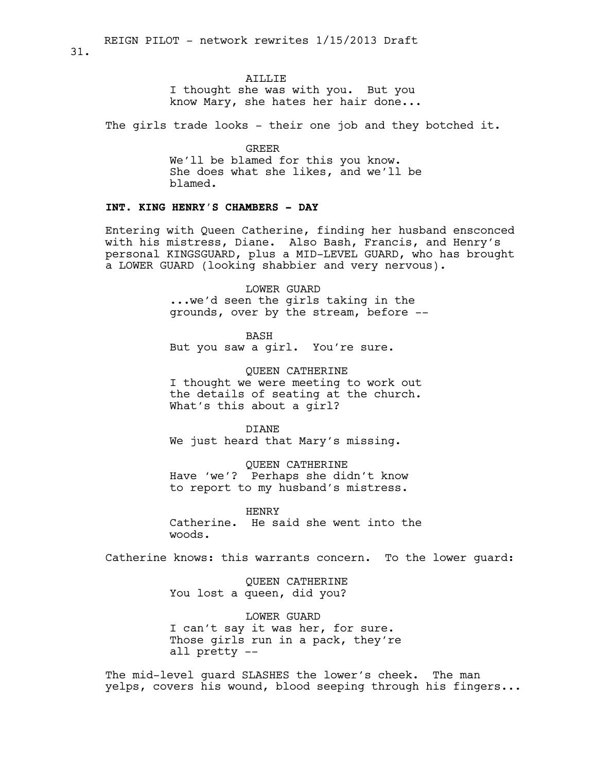### AILLIE

I thought she was with you. But you know Mary, she hates her hair done...

The girls trade looks - their one job and they botched it.

GREER We'll be blamed for this you know. She does what she likes, and we'll be blamed.

# **INT. KING HENRY'S CHAMBERS - DAY**

Entering with Queen Catherine, finding her husband ensconced with his mistress, Diane. Also Bash, Francis, and Henry's personal KINGSGUARD, plus a MID-LEVEL GUARD, who has brought a LOWER GUARD (looking shabbier and very nervous).

> LOWER GUARD ...we'd seen the girls taking in the grounds, over by the stream, before --

BASH But you saw a girl. You're sure.

QUEEN CATHERINE I thought we were meeting to work out the details of seating at the church. What's this about a girl?

DIANE We just heard that Mary's missing.

QUEEN CATHERINE Have 'we'? Perhaps she didn't know to report to my husband's mistress.

HENRY Catherine. He said she went into the woods.

Catherine knows: this warrants concern. To the lower guard:

QUEEN CATHERINE You lost a queen, did you?

LOWER GUARD I can't say it was her, for sure. Those girls run in a pack, they're all pretty --

The mid-level guard SLASHES the lower's cheek. The man yelps, covers his wound, blood seeping through his fingers...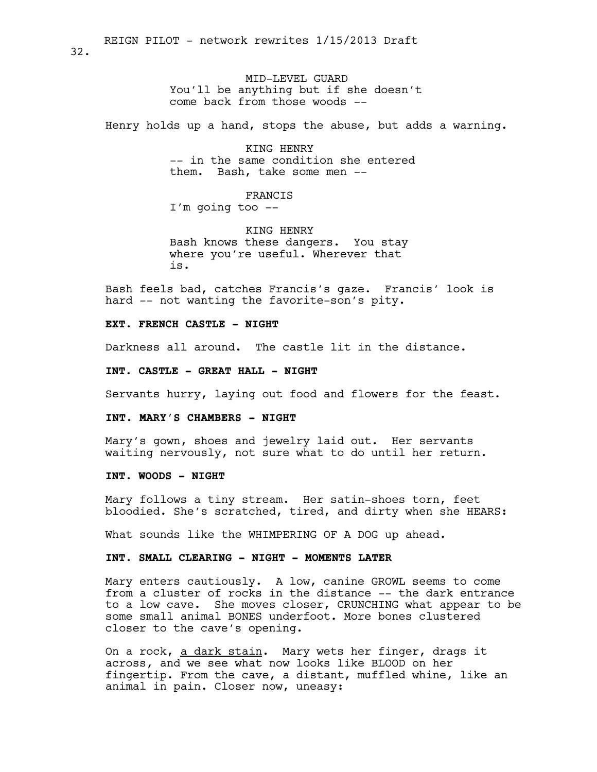MID-LEVEL GUARD You'll be anything but if she doesn't come back from those woods --

Henry holds up a hand, stops the abuse, but adds a warning.

KING HENRY -- in the same condition she entered them. Bash, take some men --

FRANCIS I'm going too --

KING HENRY Bash knows these dangers. You stay where you're useful. Wherever that is.

Bash feels bad, catches Francis's gaze. Francis' look is hard -- not wanting the favorite-son's pity.

**EXT. FRENCH CASTLE - NIGHT**

Darkness all around. The castle lit in the distance.

**INT. CASTLE - GREAT HALL - NIGHT**

Servants hurry, laying out food and flowers for the feast.

**INT. MARY'S CHAMBERS - NIGHT**

Mary's gown, shoes and jewelry laid out. Her servants waiting nervously, not sure what to do until her return.

**INT. WOODS - NIGHT**

Mary follows a tiny stream. Her satin-shoes torn, feet bloodied. She's scratched, tired, and dirty when she HEARS:

What sounds like the WHIMPERING OF A DOG up ahead.

### **INT. SMALL CLEARING - NIGHT - MOMENTS LATER**

Mary enters cautiously. A low, canine GROWL seems to come from a cluster of rocks in the distance -- the dark entrance to a low cave. She moves closer, CRUNCHING what appear to be some small animal BONES underfoot. More bones clustered closer to the cave's opening.

On a rock, a dark stain. Mary wets her finger, drags it across, and we see what now looks like BLOOD on her fingertip. From the cave, a distant, muffled whine, like an animal in pain. Closer now, uneasy: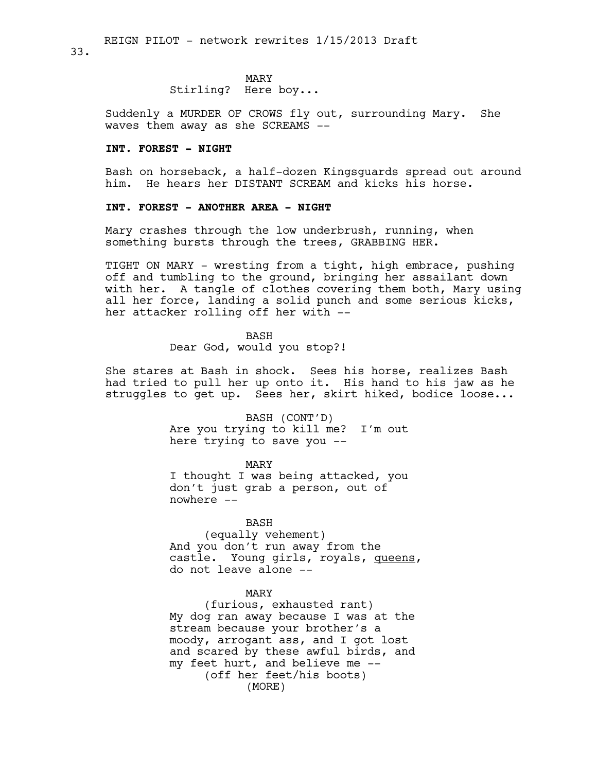#### MARY

Stirling? Here boy...

Suddenly a MURDER OF CROWS fly out, surrounding Mary. She waves them away as she SCREAMS --

#### **INT. FOREST - NIGHT**

Bash on horseback, a half-dozen Kingsguards spread out around him. He hears her DISTANT SCREAM and kicks his horse.

### **INT. FOREST - ANOTHER AREA - NIGHT**

Mary crashes through the low underbrush, running, when something bursts through the trees, GRABBING HER.

TIGHT ON MARY - wresting from a tight, high embrace, pushing off and tumbling to the ground, bringing her assailant down with her. A tangle of clothes covering them both, Mary using all her force, landing a solid punch and some serious kicks, her attacker rolling off her with --

BASH

Dear God, would you stop?!

She stares at Bash in shock. Sees his horse, realizes Bash had tried to pull her up onto it. His hand to his jaw as he struggles to get up. Sees her, skirt hiked, bodice loose...

> BASH (CONT'D) Are you trying to kill me? I'm out here trying to save you --

> > MARY

I thought I was being attacked, you don't just grab a person, out of nowhere --

#### BASH

(equally vehement) And you don't run away from the castle. Young girls, royals, queens, do not leave alone --

#### MARY

(furious, exhausted rant) My dog ran away because I was at the stream because your brother's a moody, arrogant ass, and I got lost and scared by these awful birds, and my feet hurt, and believe me -- (off her feet/his boots) (MORE)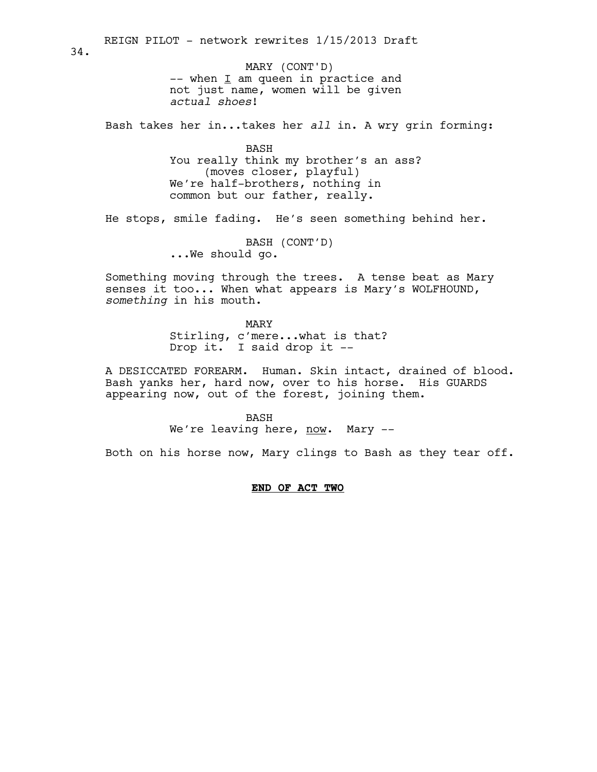$--$  when  $\underline{I}$  am queen in practice and not just name, women will be given *actual shoes*! Bash takes her in...takes her *all* in. A wry grin forming: BASH You really think my brother's an ass? (moves closer, playful) We're half-brothers, nothing in common but our father, really. He stops, smile fading. He's seen something behind her. BASH (CONT'D) ...We should go. Something moving through the trees. A tense beat as Mary senses it too... When what appears is Mary's WOLFHOUND, *something* in his mouth. MARY Stirling, c'mere...what is that? Drop it. I said drop it -- A DESICCATED FOREARM. Human. Skin intact, drained of blood. Bash yanks her, hard now, over to his horse. His GUARDS appearing now, out of the forest, joining them. BASH We're leaving here, now. Mary --34. MARY (CONT'D)

REIGN PILOT - network rewrites 1/15/2013 Draft

Both on his horse now, Mary clings to Bash as they tear off.

**END OF ACT TWO**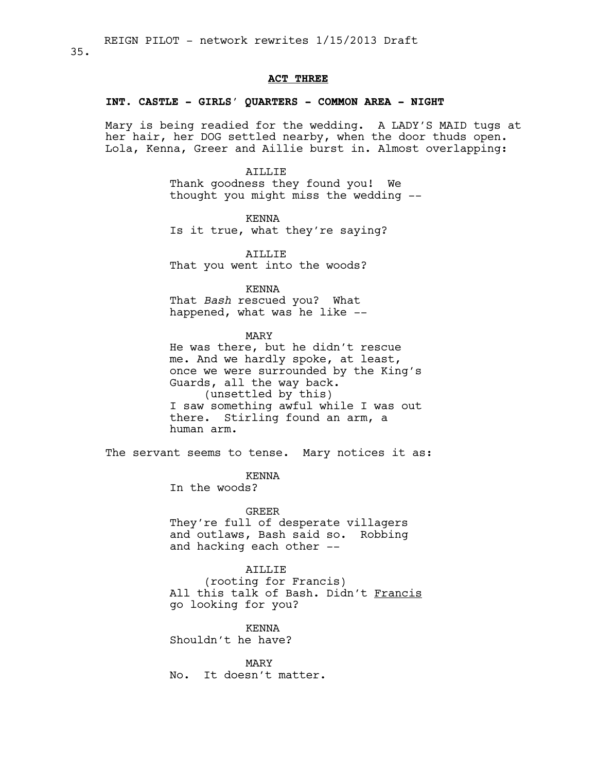### **ACT THREE**

### **INT. CASTLE - GIRLS' QUARTERS - COMMON AREA - NIGHT**

Mary is being readied for the wedding. A LADY'S MAID tugs at her hair, her DOG settled nearby, when the door thuds open. Lola, Kenna, Greer and Aillie burst in. Almost overlapping:

> AILLIE Thank goodness they found you! We thought you might miss the wedding --

KENNA Is it true, what they're saying?

AILLIE That you went into the woods?

KENNA

That *Bash* rescued you? What happened, what was he like --

MARY

He was there, but he didn't rescue me. And we hardly spoke, at least, once we were surrounded by the King's Guards, all the way back. (unsettled by this) I saw something awful while I was out there. Stirling found an arm, a human arm.

The servant seems to tense. Mary notices it as:

KENNA

In the woods?

### GREER

They're full of desperate villagers and outlaws, Bash said so. Robbing and hacking each other --

### AILLIE

(rooting for Francis) All this talk of Bash. Didn't Francis go looking for you?

KENNA Shouldn't he have?

MARY No. It doesn't matter.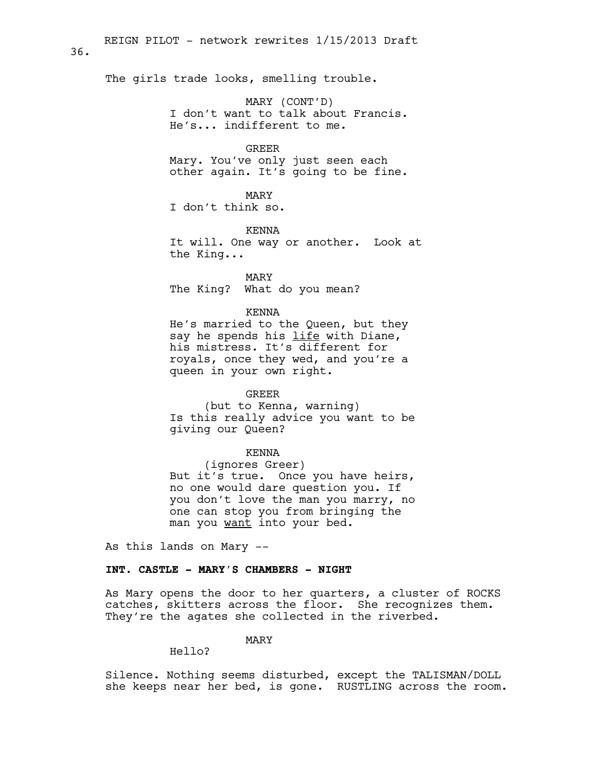The girls trade looks, smelling trouble.

36.

MARY (CONT'D) I don't want to talk about Francis. He's... indifferent to me.

### GREER

Mary. You've only just seen each other again. It's going to be fine.

MARY I don't think so.

KENNA It will. One way or another. Look at the King...

MARY The King? What do you mean?

### KENNA

He's married to the Queen, but they say he spends his life with Diane, his mistress. It's different for royals, once they wed, and you're a queen in your own right.

## GREER

(but to Kenna, warning) Is this really advice you want to be giving our Queen?

#### KENNA

(ignores Greer) But it's true. Once you have heirs, no one would dare question you. If you don't love the man you marry, no one can stop you from bringing the man you want into your bed.

As this lands on Mary --

# **INT. CASTLE - MARY'S CHAMBERS - NIGHT**

As Mary opens the door to her quarters, a cluster of ROCKS catches, skitters across the floor. She recognizes them. They're the agates she collected in the riverbed.

### MARY

### Hello?

Silence. Nothing seems disturbed, except the TALISMAN/DOLL she keeps near her bed, is gone. RUSTLING across the room.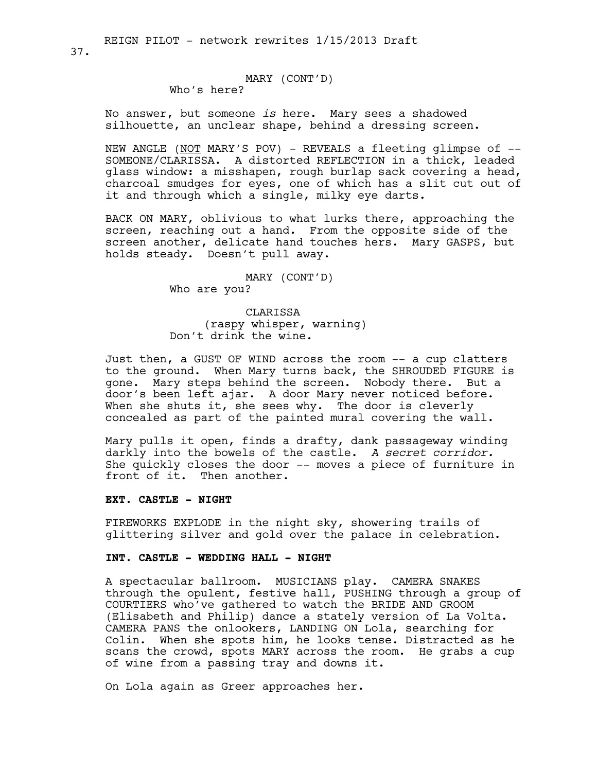# MARY (CONT'D)

Who's here?

No answer, but someone *is* here. Mary sees a shadowed silhouette, an unclear shape, behind a dressing screen.

NEW ANGLE (NOT MARY'S POV) - REVEALS a fleeting glimpse of -- SOMEONE/CLARISSA. A distorted REFLECTION in a thick, leaded glass window: a misshapen, rough burlap sack covering a head, charcoal smudges for eyes, one of which has a slit cut out of it and through which a single, milky eye darts.

BACK ON MARY, oblivious to what lurks there, approaching the screen, reaching out a hand. From the opposite side of the screen another, delicate hand touches hers. Mary GASPS, but holds steady. Doesn't pull away.

> MARY (CONT'D) Who are you?

CLARISSA (raspy whisper, warning) Don't drink the wine.

Just then, a GUST OF WIND across the room -- a cup clatters to the ground. When Mary turns back, the SHROUDED FIGURE is gone. Mary steps behind the screen. Nobody there. But a door's been left ajar. A door Mary never noticed before. When she shuts it, she sees why. The door is cleverly concealed as part of the painted mural covering the wall.

Mary pulls it open, finds a drafty, dank passageway winding darkly into the bowels of the castle. *A secret corridor.*  She quickly closes the door -- moves a piece of furniture in front of it. Then another.

### **EXT. CASTLE - NIGHT**

FIREWORKS EXPLODE in the night sky, showering trails of glittering silver and gold over the palace in celebration.

# **INT. CASTLE - WEDDING HALL - NIGHT**

A spectacular ballroom. MUSICIANS play. CAMERA SNAKES through the opulent, festive hall, PUSHING through a group of COURTIERS who've gathered to watch the BRIDE AND GROOM (Elisabeth and Philip) dance a stately version of La Volta. CAMERA PANS the onlookers, LANDING ON Lola, searching for Colin. When she spots him, he looks tense. Distracted as he scans the crowd, spots MARY across the room. He grabs a cup of wine from a passing tray and downs it.

On Lola again as Greer approaches her.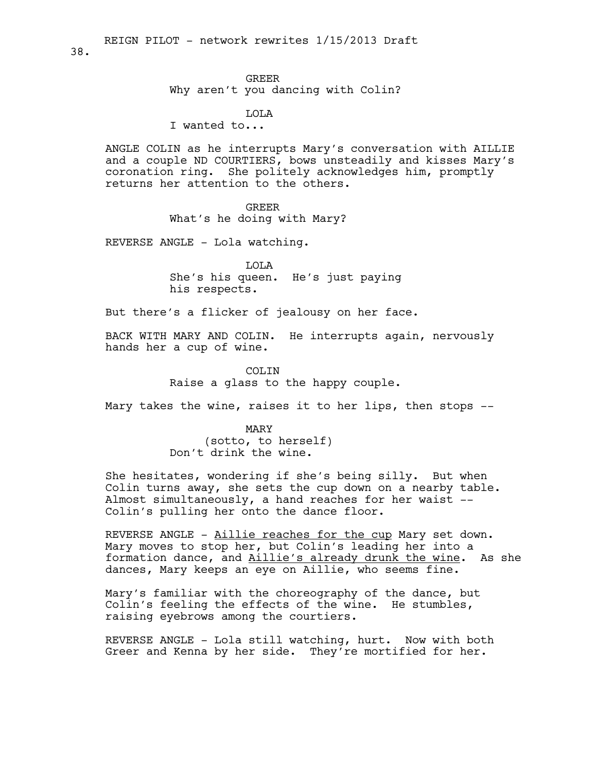38.

### GREER

Why aren't you dancing with Colin?

LOLA

I wanted to...

ANGLE COLIN as he interrupts Mary's conversation with AILLIE and a couple ND COURTIERS, bows unsteadily and kisses Mary's coronation ring. She politely acknowledges him, promptly returns her attention to the others.

> GREER What's he doing with Mary?

REVERSE ANGLE - Lola watching.

LOLA She's his queen. He's just paying his respects.

But there's a flicker of jealousy on her face.

BACK WITH MARY AND COLIN. He interrupts again, nervously hands her a cup of wine.

> COLIN Raise a glass to the happy couple.

Mary takes the wine, raises it to her lips, then stops --

MARY (sotto, to herself) Don't drink the wine.

She hesitates, wondering if she's being silly. But when Colin turns away, she sets the cup down on a nearby table. Almost simultaneously, a hand reaches for her waist -- Colin's pulling her onto the dance floor.

REVERSE ANGLE - Aillie reaches for the cup Mary set down. Mary moves to stop her, but Colin's leading her into a formation dance, and Aillie's already drunk the wine. As she dances, Mary keeps an eye on Aillie, who seems fine.

Mary's familiar with the choreography of the dance, but Colin's feeling the effects of the wine. He stumbles, raising eyebrows among the courtiers.

REVERSE ANGLE - Lola still watching, hurt. Now with both Greer and Kenna by her side. They're mortified for her.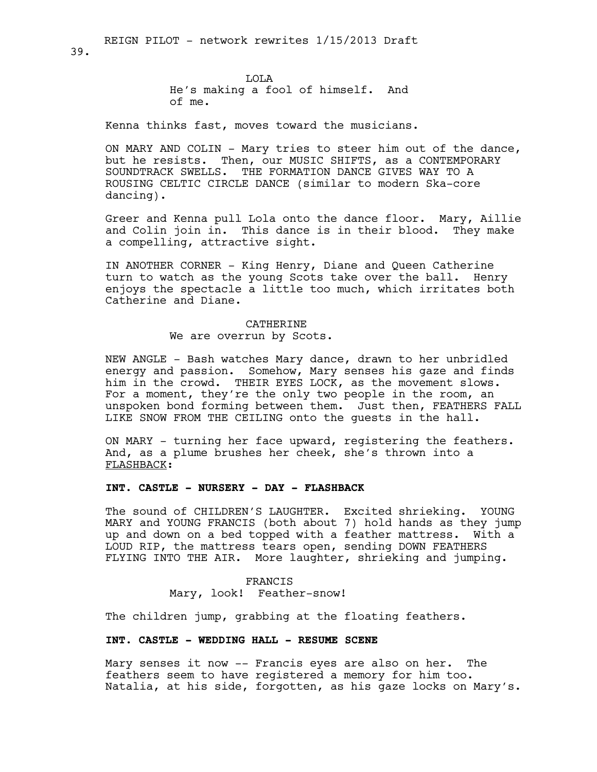LOLA He's making a fool of himself. And of me.

Kenna thinks fast, moves toward the musicians.

ON MARY AND COLIN - Mary tries to steer him out of the dance, but he resists. Then, our MUSIC SHIFTS, as a CONTEMPORARY SOUNDTRACK SWELLS. THE FORMATION DANCE GIVES WAY TO A ROUSING CELTIC CIRCLE DANCE (similar to modern Ska-core dancing).

Greer and Kenna pull Lola onto the dance floor. Mary, Aillie and Colin join in. This dance is in their blood. They make a compelling, attractive sight.

IN ANOTHER CORNER - King Henry, Diane and Queen Catherine turn to watch as the young Scots take over the ball. Henry enjoys the spectacle a little too much, which irritates both Catherine and Diane.

# CATHERINE We are overrun by Scots.

NEW ANGLE - Bash watches Mary dance, drawn to her unbridled energy and passion. Somehow, Mary senses his gaze and finds him in the crowd. THEIR EYES LOCK, as the movement slows. For a moment, they're the only two people in the room, an unspoken bond forming between them. Just then, FEATHERS FALL LIKE SNOW FROM THE CEILING onto the guests in the hall.

ON MARY - turning her face upward, registering the feathers. And, as a plume brushes her cheek, she's thrown into a FLASHBACK:

# **INT. CASTLE - NURSERY - DAY - FLASHBACK**

The sound of CHILDREN'S LAUGHTER. Excited shrieking. YOUNG MARY and YOUNG FRANCIS (both about 7) hold hands as they jump up and down on a bed topped with a feather mattress. With a LOUD RIP, the mattress tears open, sending DOWN FEATHERS FLYING INTO THE AIR. More laughter, shrieking and jumping.

> FRANCIS Mary, look! Feather-snow!

The children jump, grabbing at the floating feathers.

### **INT. CASTLE - WEDDING HALL - RESUME SCENE**

Mary senses it now -- Francis eyes are also on her. The feathers seem to have registered a memory for him too. Natalia, at his side, forgotten, as his gaze locks on Mary's.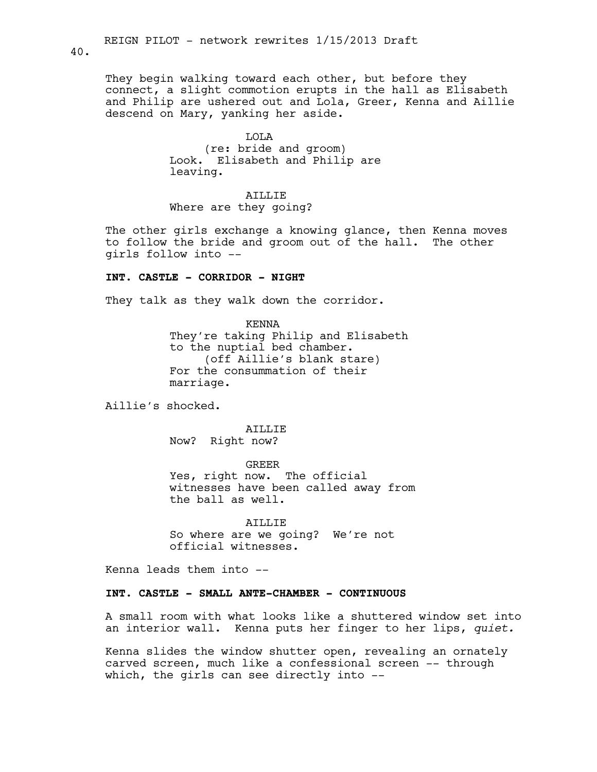40.

They begin walking toward each other, but before they connect, a slight commotion erupts in the hall as Elisabeth and Philip are ushered out and Lola, Greer, Kenna and Aillie descend on Mary, yanking her aside.

> LOLA (re: bride and groom) Look. Elisabeth and Philip are leaving.

ATLLIF. Where are they going?

The other girls exchange a knowing glance, then Kenna moves to follow the bride and groom out of the hall. The other girls follow into --

### **INT. CASTLE - CORRIDOR - NIGHT**

They talk as they walk down the corridor.

KENNA They're taking Philip and Elisabeth to the nuptial bed chamber. (off Aillie's blank stare) For the consummation of their marriage.

Aillie's shocked.

AILLIE Now? Right now?

GREER

Yes, right now. The official witnesses have been called away from the ball as well.

ATLLIF. So where are we going? We're not official witnesses.

Kenna leads them into --

#### **INT. CASTLE - SMALL ANTE-CHAMBER - CONTINUOUS**

A small room with what looks like a shuttered window set into an interior wall. Kenna puts her finger to her lips, *quiet.*

Kenna slides the window shutter open, revealing an ornately carved screen, much like a confessional screen -- through which, the girls can see directly into --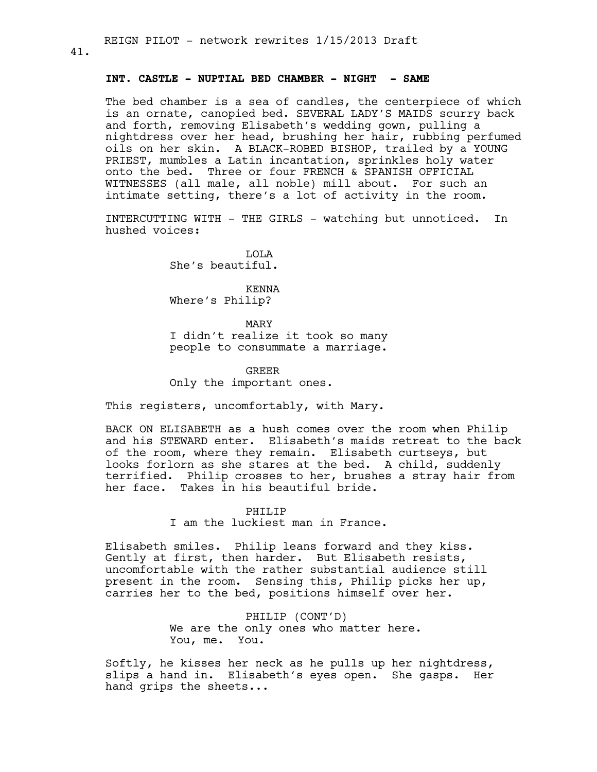### **INT. CASTLE - NUPTIAL BED CHAMBER - NIGHT - SAME**

The bed chamber is a sea of candles, the centerpiece of which is an ornate, canopied bed. SEVERAL LADY'S MAIDS scurry back and forth, removing Elisabeth's wedding gown, pulling a nightdress over her head, brushing her hair, rubbing perfumed oils on her skin. A BLACK-ROBED BISHOP, trailed by a YOUNG PRIEST, mumbles a Latin incantation, sprinkles holy water onto the bed. Three or four FRENCH & SPANISH OFFICIAL WITNESSES (all male, all noble) mill about. For such an intimate setting, there's a lot of activity in the room.

INTERCUTTING WITH - THE GIRLS - watching but unnoticed. In hushed voices:

> LOLA She's beautiful.

KENNA Where's Philip?

MARY I didn't realize it took so many people to consummate a marriage.

GREER Only the important ones.

This registers, uncomfortably, with Mary.

BACK ON ELISABETH as a hush comes over the room when Philip and his STEWARD enter. Elisabeth's maids retreat to the back of the room, where they remain. Elisabeth curtseys, but looks forlorn as she stares at the bed. A child, suddenly terrified. Philip crosses to her, brushes a stray hair from her face. Takes in his beautiful bride.

> PHILIP I am the luckiest man in France.

Elisabeth smiles. Philip leans forward and they kiss. Gently at first, then harder. But Elisabeth resists, uncomfortable with the rather substantial audience still present in the room. Sensing this, Philip picks her up, carries her to the bed, positions himself over her.

> PHILIP (CONT'D) We are the only ones who matter here. You, me. You.

Softly, he kisses her neck as he pulls up her nightdress, slips a hand in. Elisabeth's eyes open. She gasps. Her hand grips the sheets...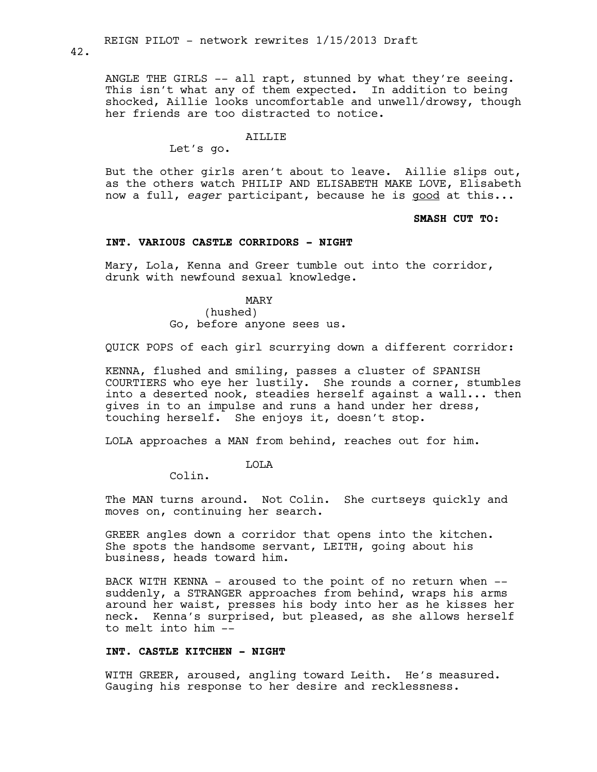ANGLE THE GIRLS -- all rapt, stunned by what they're seeing. This isn't what any of them expected. In addition to being shocked, Aillie looks uncomfortable and unwell/drowsy, though her friends are too distracted to notice.

#### ATLLIE

Let's go.

But the other girls aren't about to leave. Aillie slips out, as the others watch PHILIP AND ELISABETH MAKE LOVE, Elisabeth now a full, *eager* participant, because he is good at this...

### **SMASH CUT TO:**

# **INT. VARIOUS CASTLE CORRIDORS - NIGHT**

Mary, Lola, Kenna and Greer tumble out into the corridor, drunk with newfound sexual knowledge.

> MARY (hushed) Go, before anyone sees us.

QUICK POPS of each girl scurrying down a different corridor:

KENNA, flushed and smiling, passes a cluster of SPANISH COURTIERS who eye her lustily. She rounds a corner, stumbles into a deserted nook, steadies herself against a wall... then gives in to an impulse and runs a hand under her dress, touching herself. She enjoys it, doesn't stop.

LOLA approaches a MAN from behind, reaches out for him.

LOLA

Colin.

The MAN turns around. Not Colin. She curtseys quickly and moves on, continuing her search.

GREER angles down a corridor that opens into the kitchen. She spots the handsome servant, LEITH, going about his business, heads toward him.

BACK WITH KENNA - aroused to the point of no return when - suddenly, a STRANGER approaches from behind, wraps his arms around her waist, presses his body into her as he kisses her neck. Kenna's surprised, but pleased, as she allows herself to melt into him --

### **INT. CASTLE KITCHEN - NIGHT**

WITH GREER, aroused, angling toward Leith. He's measured. Gauging his response to her desire and recklessness.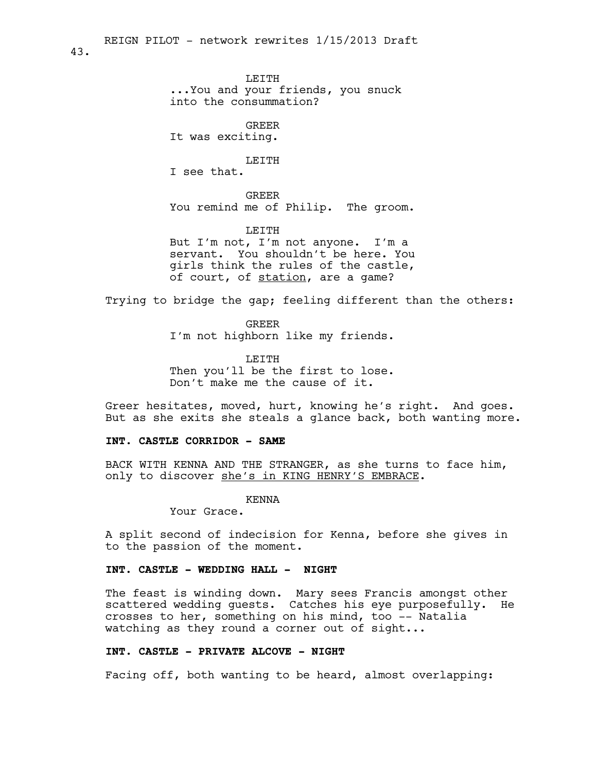43.

LEITH ...You and your friends, you snuck into the consummation?

GREER It was exciting.

LEITH I see that.

GREER You remind me of Philip. The groom.

LEITH But I'm not, I'm not anyone. I'm a servant. You shouldn't be here. You girls think the rules of the castle, of court, of station, are a game?

Trying to bridge the gap; feeling different than the others:

**GREER** I'm not highborn like my friends.

LEITH Then you'll be the first to lose. Don't make me the cause of it.

Greer hesitates, moved, hurt, knowing he's right. And goes. But as she exits she steals a glance back, both wanting more.

### **INT. CASTLE CORRIDOR - SAME**

BACK WITH KENNA AND THE STRANGER, as she turns to face him, only to discover she's in KING HENRY'S EMBRACE.

KENNA

Your Grace.

A split second of indecision for Kenna, before she gives in to the passion of the moment.

# **INT. CASTLE - WEDDING HALL - NIGHT**

The feast is winding down. Mary sees Francis amongst other scattered wedding guests. Catches his eye purposefully. He crosses to her, something on his mind, too -- Natalia watching as they round a corner out of sight...

### **INT. CASTLE - PRIVATE ALCOVE - NIGHT**

Facing off, both wanting to be heard, almost overlapping: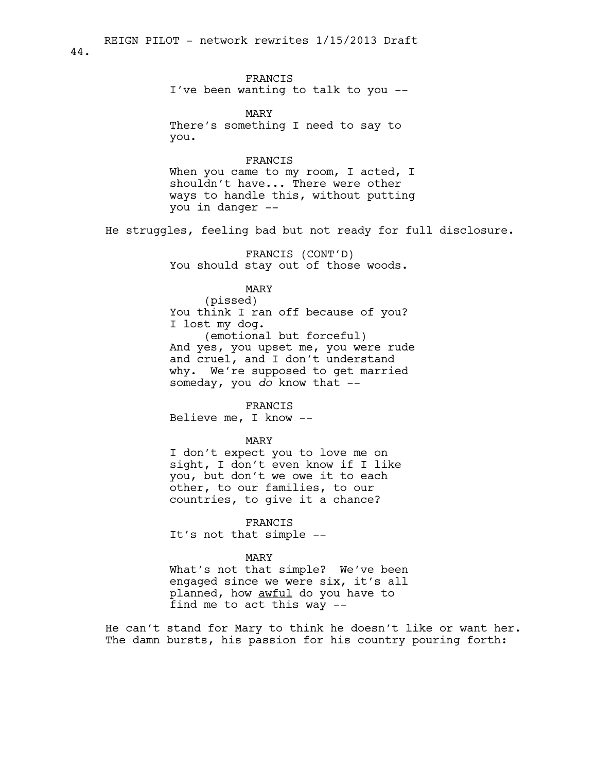FRANCIS I've been wanting to talk to you --

MARY There's something I need to say to you.

#### FRANCIS

When you came to my room, I acted, I shouldn't have... There were other ways to handle this, without putting you in danger --

He struggles, feeling bad but not ready for full disclosure.

FRANCIS (CONT'D) You should stay out of those woods.

# MARY

(pissed) You think I ran off because of you? I lost my dog. (emotional but forceful)

And yes, you upset me, you were rude and cruel, and I don't understand why. We're supposed to get married someday, you *do* know that --

FRANCIS

Believe me, I know --

### MARY

I don't expect you to love me on sight, I don't even know if I like you, but don't we owe it to each other, to our families, to our countries, to give it a chance?

FRANCIS

It's not that simple --

#### MARY

What's not that simple? We've been engaged since we were six, it's all planned, how **awful** do you have to find me to act this way --

He can't stand for Mary to think he doesn't like or want her. The damn bursts, his passion for his country pouring forth: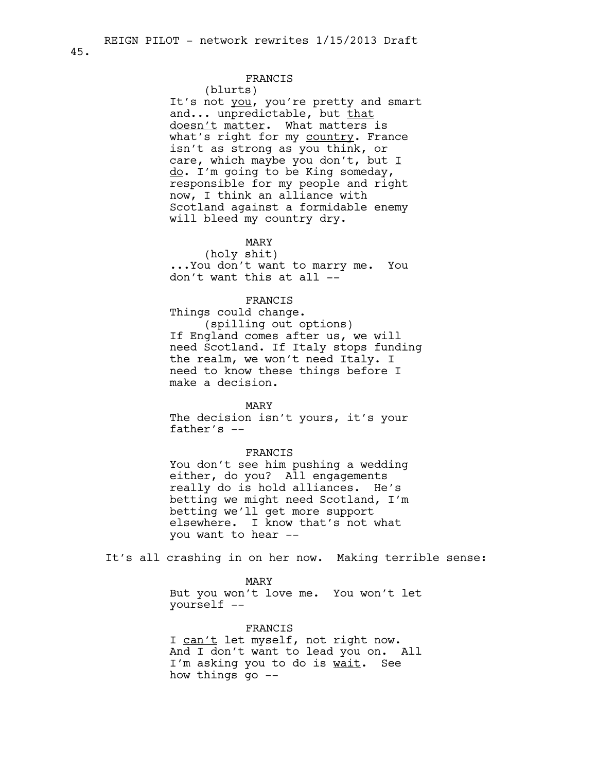#### 45.

# FRANCIS

(blurts)

It's not you, you're pretty and smart and... unpredictable, but that doesn't matter. What matters is what's right for my country. France isn't as strong as you think, or care, which maybe you don't, but  $I$ do. I'm going to be King someday, responsible for my people and right now, I think an alliance with Scotland against a formidable enemy will bleed my country dry.

# MARY

(holy shit) ...You don't want to marry me. You don't want this at all --

### FRANCIS

Things could change. (spilling out options) If England comes after us, we will need Scotland. If Italy stops funding the realm, we won't need Italy. I need to know these things before I make a decision.

### MARY

The decision isn't yours, it's your father's --

#### FRANCIS

You don't see him pushing a wedding either, do you? All engagements really do is hold alliances. He's betting we might need Scotland, I'm betting we'll get more support elsewhere. I know that's not what you want to hear --

It's all crashing in on her now. Making terrible sense:

MARY But you won't love me. You won't let yourself --

FRANCIS I can't let myself, not right now. And I don't want to lead you on. All I'm asking you to do is wait. See how things go --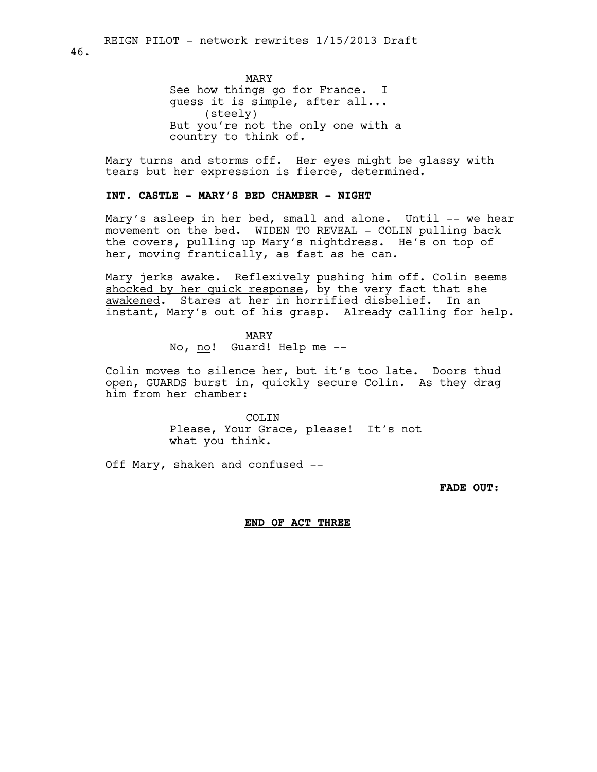MARY See how things go for France. I guess it is simple, after all... (steely) But you're not the only one with a country to think of.

Mary turns and storms off. Her eyes might be glassy with tears but her expression is fierce, determined.

# **INT. CASTLE - MARY'S BED CHAMBER - NIGHT**

Mary's asleep in her bed, small and alone. Until -- we hear movement on the bed. WIDEN TO REVEAL - COLIN pulling back the covers, pulling up Mary's nightdress. He's on top of her, moving frantically, as fast as he can.

Mary jerks awake. Reflexively pushing him off. Colin seems shocked by her quick response, by the very fact that she awakened. Stares at her in horrified disbelief. In an instant, Mary's out of his grasp. Already calling for help.

> MARY No, no! Guard! Help me --

Colin moves to silence her, but it's too late. Doors thud open, GUARDS burst in, quickly secure Colin. As they drag him from her chamber:

> COLTN. Please, Your Grace, please! It's not what you think.

Off Mary, shaken and confused --

**FADE OUT:**

### **END OF ACT THREE**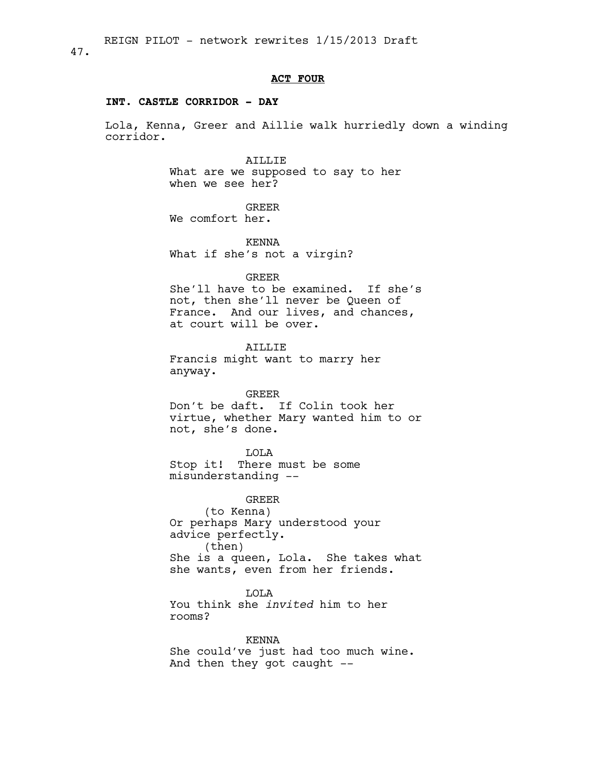### **ACT FOUR**

### **INT. CASTLE CORRIDOR - DAY**

Lola, Kenna, Greer and Aillie walk hurriedly down a winding corridor.

AILLIE

What are we supposed to say to her when we see her?

GREER

We comfort her.

KENNA What if she's not a virgin?

#### GREER

She'll have to be examined. If she's not, then she'll never be Queen of France. And our lives, and chances, at court will be over.

### AILLIE

Francis might want to marry her anyway.

### GREER

Don't be daft. If Colin took her virtue, whether Mary wanted him to or not, she's done.

LOLA Stop it! There must be some misunderstanding --

GREER (to Kenna) Or perhaps Mary understood your advice perfectly. (then) She is a queen, Lola. She takes what she wants, even from her friends.

LOLA

You think she *invited* him to her rooms?

KENNA

She could've just had too much wine. And then they got caught --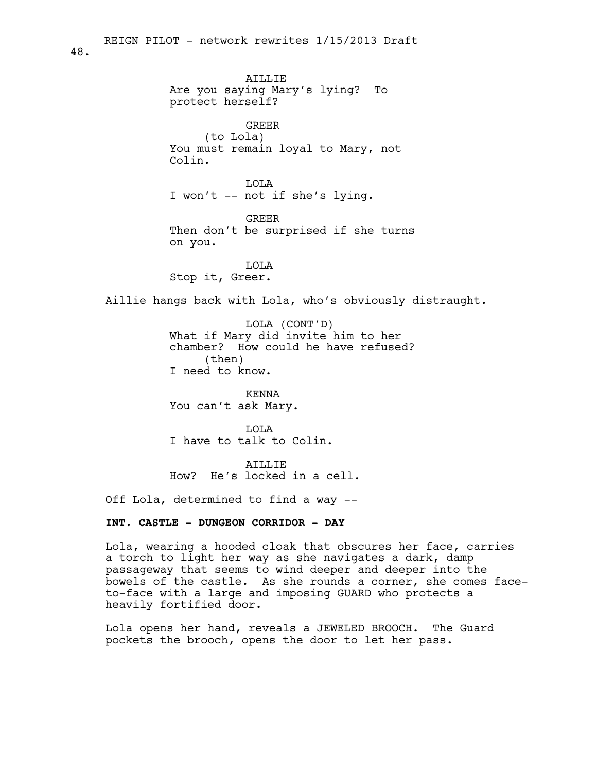AILLIE Are you saying Mary's lying? To protect herself? GREER (to Lola) You must remain loyal to Mary, not Colin. LOLA I won't -- not if she's lying. GREER Then don't be surprised if she turns on you. LOLA Stop it, Greer. REIGN PILOT - network rewrites 1/15/2013 Draft

Aillie hangs back with Lola, who's obviously distraught.

LOLA (CONT'D) What if Mary did invite him to her chamber? How could he have refused? (then) I need to know.

KENNA You can't ask Mary.

LOLA I have to talk to Colin.

ATLLIF. How? He's locked in a cell.

Off Lola, determined to find a way --

### **INT. CASTLE - DUNGEON CORRIDOR - DAY**

Lola, wearing a hooded cloak that obscures her face, carries a torch to light her way as she navigates a dark, damp passageway that seems to wind deeper and deeper into the bowels of the castle. As she rounds a corner, she comes faceto-face with a large and imposing GUARD who protects a heavily fortified door.

Lola opens her hand, reveals a JEWELED BROOCH. The Guard pockets the brooch, opens the door to let her pass.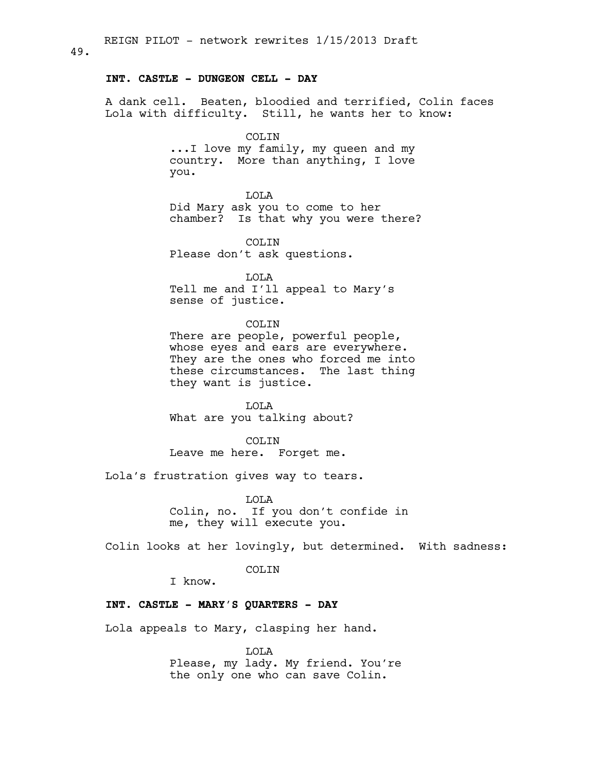A dank cell. Beaten, bloodied and terrified, Colin faces Lola with difficulty. Still, he wants her to know:

COLTN

...I love my family, my queen and my country. More than anything, I love you.

LOLA Did Mary ask you to come to her chamber? Is that why you were there?

COLIN Please don't ask questions.

LOLA Tell me and I'll appeal to Mary's sense of justice.

COLIN There are people, powerful people, whose eyes and ears are everywhere. They are the ones who forced me into these circumstances. The last thing they want is justice.

LOLA What are you talking about?

COLIN Leave me here. Forget me.

Lola's frustration gives way to tears.

LOLA Colin, no. If you don't confide in me, they will execute you.

Colin looks at her lovingly, but determined. With sadness:

COLIN

I know.

### **INT. CASTLE - MARY'S QUARTERS - DAY**

Lola appeals to Mary, clasping her hand.

LOLA Please, my lady. My friend. You're the only one who can save Colin.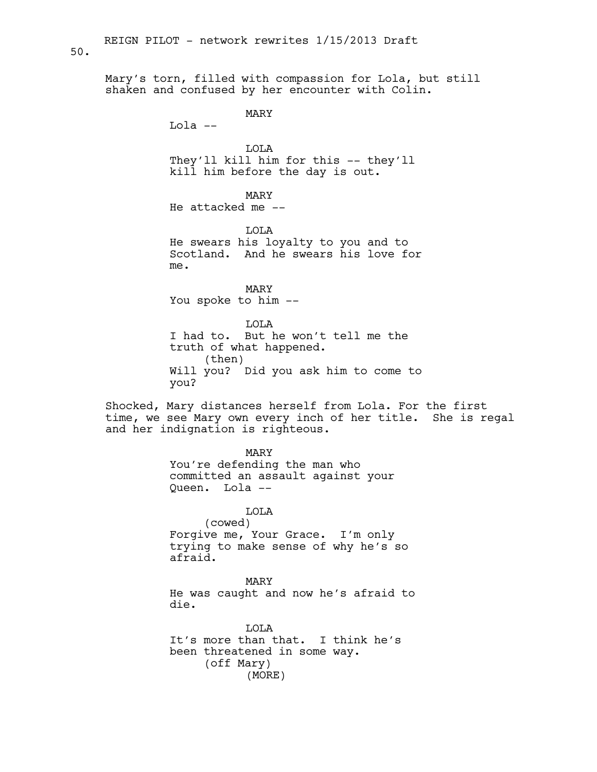Mary's torn, filled with compassion for Lola, but still shaken and confused by her encounter with Colin.

MARY

Lola --

LOLA They'll kill him for this -- they'll kill him before the day is out.

MARY He attacked me --

LOLA He swears his loyalty to you and to Scotland. And he swears his love for me.

MARY You spoke to him --

LOLA I had to. But he won't tell me the truth of what happened. (then) Will you? Did you ask him to come to you?

Shocked, Mary distances herself from Lola. For the first time, we see Mary own every inch of her title. She is regal and her indignation is righteous.

> MARY You're defending the man who committed an assault against your Queen. Lola --

LOLA (cowed) Forgive me, Your Grace. I'm only trying to make sense of why he's so afraid.

MARY He was caught and now he's afraid to die.

LOLA It's more than that. I think he's been threatened in some way. (off Mary) (MORE)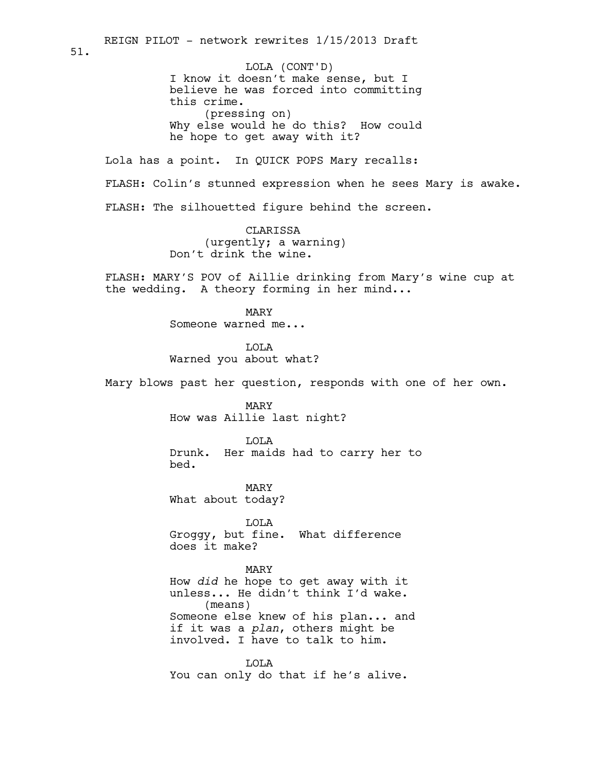I know it doesn't make sense, but I believe he was forced into committing this crime. (pressing on) Why else would he do this? How could he hope to get away with it? Lola has a point. In QUICK POPS Mary recalls: FLASH: Colin's stunned expression when he sees Mary is awake. FLASH: The silhouetted figure behind the screen. CLARISSA (urgently; a warning) Don't drink the wine. FLASH: MARY'S POV of Aillie drinking from Mary's wine cup at the wedding. A theory forming in her mind... MARY Someone warned me... LOLA Warned you about what? Mary blows past her question, responds with one of her own. MARY How was Aillie last night? LOLA Drunk. Her maids had to carry her to bed. MARY What about today? LOLA Groggy, but fine. What difference does it make? MARY How *did* he hope to get away with it unless... He didn't think I'd wake. (means) Someone else knew of his plan... and if it was a *plan*, others might be involved. I have to talk to him. LOLA REIGN PILOT - network rewrites 1/15/2013 Draft 51. LOLA (CONT'D)

You can only do that if he's alive.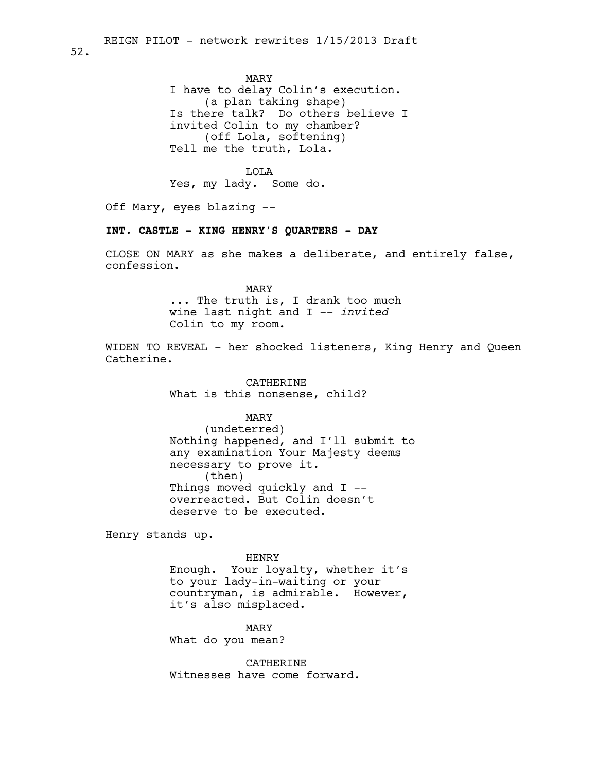MARY I have to delay Colin's execution. (a plan taking shape) Is there talk? Do others believe I invited Colin to my chamber? (off Lola, softening) Tell me the truth, Lola.

LOLA Yes, my lady. Some do.

Off Mary, eyes blazing --

# **INT. CASTLE - KING HENRY'S QUARTERS - DAY**

CLOSE ON MARY as she makes a deliberate, and entirely false, confession.

> MARY ... The truth is, I drank too much wine last night and I -- *invited* Colin to my room.

WIDEN TO REVEAL - her shocked listeners, King Henry and Queen Catherine.

> CATHERINE What is this nonsense, child?

### MARY

(undeterred) Nothing happened, and I'll submit to any examination Your Majesty deems necessary to prove it. (then) Things moved quickly and I - overreacted. But Colin doesn't deserve to be executed.

Henry stands up.

HENRY

Enough. Your loyalty, whether it's to your lady-in-waiting or your countryman, is admirable. However, it's also misplaced.

MARY What do you mean?

CATHERINE Witnesses have come forward.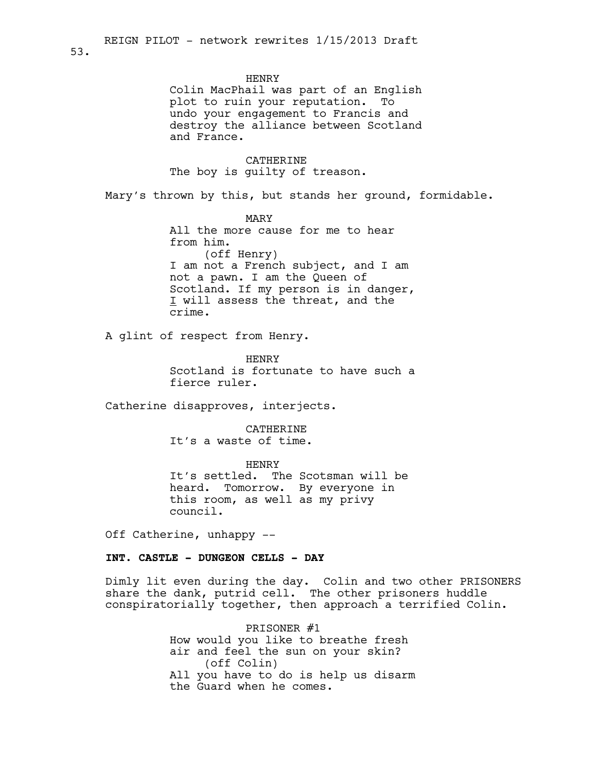#### HENRY

Colin MacPhail was part of an English plot to ruin your reputation. To undo your engagement to Francis and destroy the alliance between Scotland and France.

# CATHERINE

The boy is guilty of treason.

Mary's thrown by this, but stands her ground, formidable.

MARY All the more cause for me to hear from him. (off Henry) I am not a French subject, and I am not a pawn. I am the Queen of Scotland. If my person is in danger, I will assess the threat, and the crime.

A glint of respect from Henry.

HENRY Scotland is fortunate to have such a fierce ruler.

Catherine disapproves, interjects.

CATHERINE It's a waste of time.

HENRY It's settled. The Scotsman will be heard. Tomorrow. By everyone in this room, as well as my privy council.

Off Catherine, unhappy --

# **INT. CASTLE - DUNGEON CELLS - DAY**

Dimly lit even during the day. Colin and two other PRISONERS share the dank, putrid cell. The other prisoners huddle conspiratorially together, then approach a terrified Colin.

> PRISONER #1 How would you like to breathe fresh air and feel the sun on your skin? (off Colin) All you have to do is help us disarm the Guard when he comes.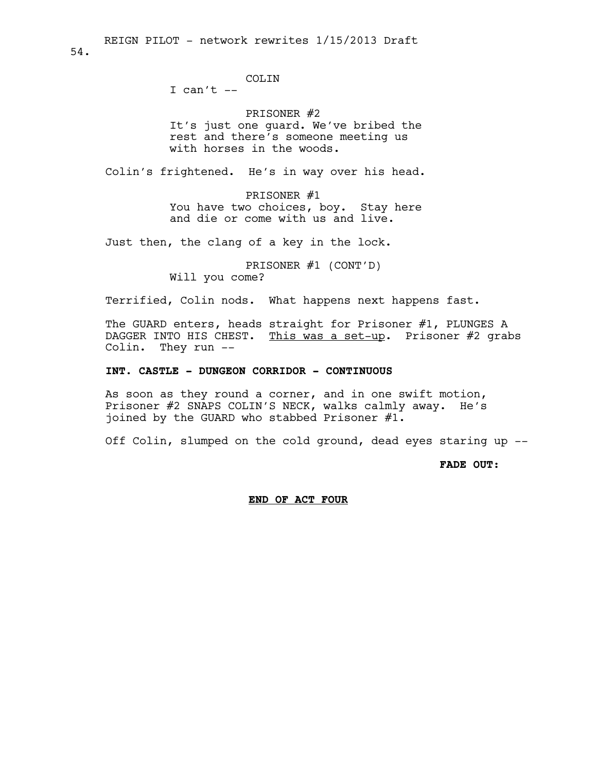54.

# COLIN

I can't  $--$ 

# PRISONER #2

It's just one guard. We've bribed the rest and there's someone meeting us with horses in the woods.

Colin's frightened. He's in way over his head.

PRISONER #1 You have two choices, boy. Stay here and die or come with us and live.

Just then, the clang of a key in the lock.

PRISONER #1 (CONT'D) Will you come?

Terrified, Colin nods. What happens next happens fast.

The GUARD enters, heads straight for Prisoner #1, PLUNGES A DAGGER INTO HIS CHEST. This was a set-up. Prisoner #2 grabs Colin. They run --

# **INT. CASTLE - DUNGEON CORRIDOR - CONTINUOUS**

As soon as they round a corner, and in one swift motion, Prisoner #2 SNAPS COLIN'S NECK, walks calmly away. He's joined by the GUARD who stabbed Prisoner #1.

Off Colin, slumped on the cold ground, dead eyes staring up --

**FADE OUT:**

#### **END OF ACT FOUR**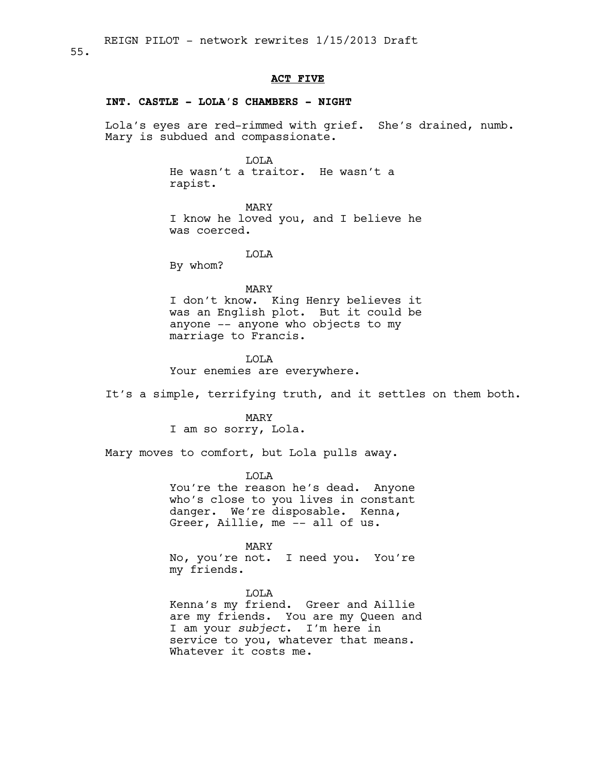#### 55.

#### **ACT FIVE**

# **INT. CASTLE - LOLA'S CHAMBERS - NIGHT**

Lola's eyes are red-rimmed with grief. She's drained, numb. Mary is subdued and compassionate.

LOLA

He wasn't a traitor. He wasn't a rapist.

MARY I know he loved you, and I believe he was coerced.

LOLA

By whom?

#### MARY

I don't know. King Henry believes it was an English plot. But it could be anyone -- anyone who objects to my marriage to Francis.

LOLA Your enemies are everywhere.

It's a simple, terrifying truth, and it settles on them both.

MARY

I am so sorry, Lola.

Mary moves to comfort, but Lola pulls away.

LOLA You're the reason he's dead. Anyone

who's close to you lives in constant danger. We're disposable. Kenna, Greer, Aillie, me -- all of us.

MARY

No, you're not. I need you. You're my friends.

LOLA

Kenna's my friend. Greer and Aillie are my friends. You are my Queen and I am your *subject*. I'm here in service to you, whatever that means. Whatever it costs me.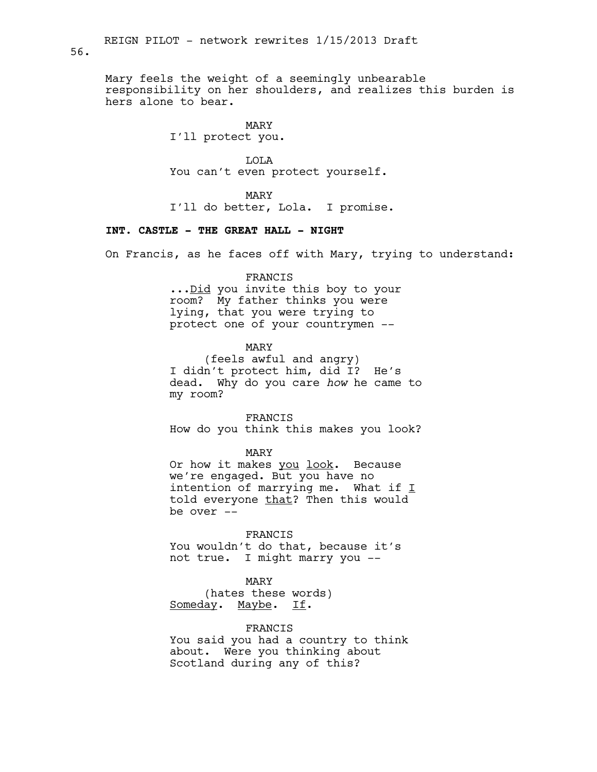Mary feels the weight of a seemingly unbearable responsibility on her shoulders, and realizes this burden is hers alone to bear.

MARY

I'll protect you.

LOLA You can't even protect yourself.

MARY

I'll do better, Lola. I promise.

# **INT. CASTLE - THE GREAT HALL - NIGHT**

On Francis, as he faces off with Mary, trying to understand:

#### FRANCIS

... Did you invite this boy to your room? My father thinks you were lying, that you were trying to protect one of your countrymen --

MARY

(feels awful and angry) I didn't protect him, did I? He's dead. Why do you care *how* he came to my room?

FRANCIS

How do you think this makes you look?

MARY

Or how it makes you look. Because we're engaged. But you have no intention of marrying me. What if  $I$ told everyone that? Then this would be over --

#### FRANCIS

You wouldn't do that, because it's not true. I might marry you --

MARY (hates these words) Someday. Maybe. If.

### FRANCIS

You said you had a country to think about. Were you thinking about Scotland during any of this?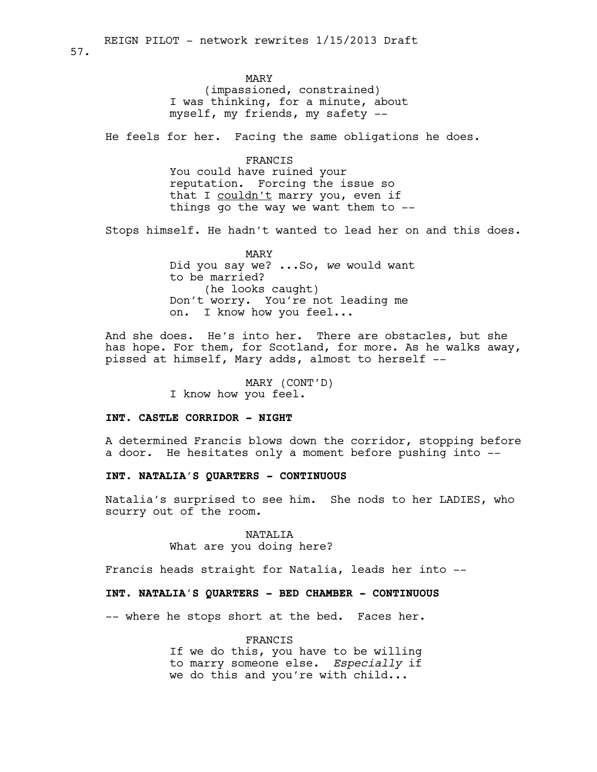# MARY

(impassioned, constrained) I was thinking, for a minute, about myself, my friends, my safety --

He feels for her. Facing the same obligations he does.

#### FRANCIS

You could have ruined your reputation. Forcing the issue so that I couldn't marry you, even if things go the way we want them to  $-$ -

Stops himself. He hadn't wanted to lead her on and this does.

MARY Did you say we? ...So, *we* would want to be married? (he looks caught) Don't worry. You're not leading me on. I know how you feel...

And she does. He's into her. There are obstacles, but she has hope. For them, for Scotland, for more. As he walks away, pissed at himself, Mary adds, almost to herself --

> MARY (CONT'D) I know how you feel.

# **INT. CASTLE CORRIDOR - NIGHT**

A determined Francis blows down the corridor, stopping before a door. He hesitates only a moment before pushing into --

### **INT. NATALIA'S QUARTERS - CONTINUOUS**

Natalia's surprised to see him. She nods to her LADIES, who scurry out of the room.

# NATALIA

What are you doing here?

Francis heads straight for Natalia, leads her into --

### **INT. NATALIA'S QUARTERS - BED CHAMBER - CONTINUOUS**

-- where he stops short at the bed. Faces her.

FRANCIS

If we do this, you have to be willing to marry someone else. *Especially* if we do this and you're with child...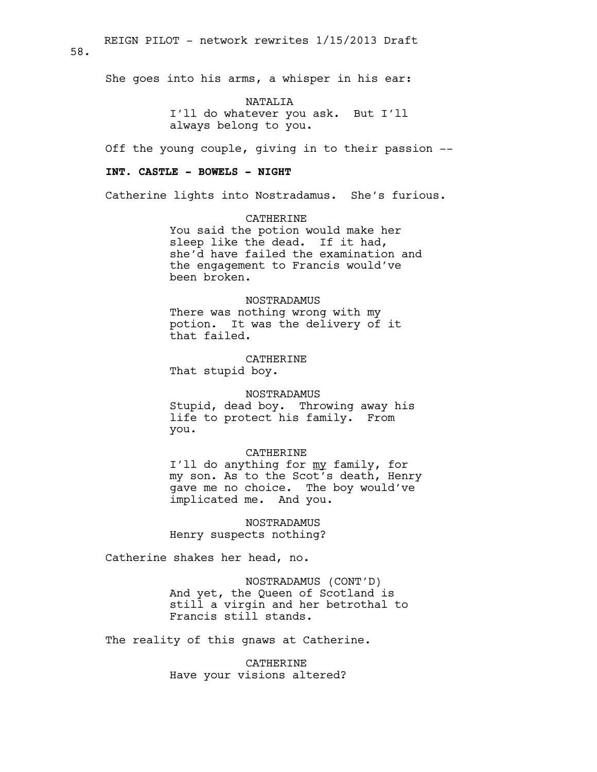58.

She goes into his arms, a whisper in his ear:

NATALIA I'll do whatever you ask. But I'll always belong to you.

Off the young couple, giving in to their passion --

### **INT. CASTLE - BOWELS - NIGHT**

Catherine lights into Nostradamus. She's furious.

CATHERINE You said the potion would make her sleep like the dead. If it had, she'd have failed the examination and the engagement to Francis would've been broken.

# NOSTRADAMUS

There was nothing wrong with my potion. It was the delivery of it that failed.

CATHERINE That stupid boy.

#### NOSTRADAMUS

Stupid, dead boy. Throwing away his life to protect his family. From you.

### CATHERINE

I'll do anything for my family, for my son. As to the Scot's death, Henry gave me no choice. The boy would've implicated me. And you.

NOSTRADAMUS Henry suspects nothing?

Catherine shakes her head, no.

NOSTRADAMUS (CONT'D) And yet, the Queen of Scotland is still a virgin and her betrothal to Francis still stands.

The reality of this gnaws at Catherine.

CATHERINE Have your visions altered?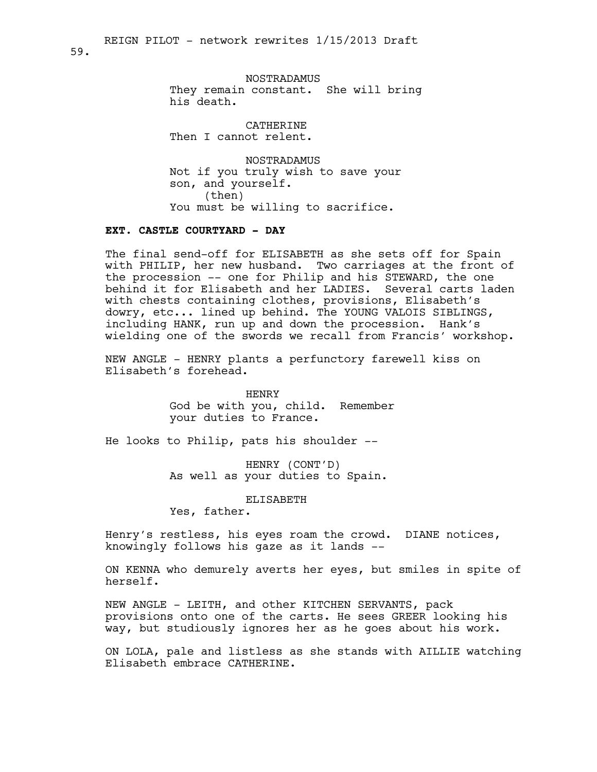NOSTRADAMUS They remain constant. She will bring his death.

CATHERINE Then I cannot relent.

NOSTRADAMUS Not if you truly wish to save your son, and yourself. (then) You must be willing to sacrifice.

# **EXT. CASTLE COURTYARD - DAY**

The final send-off for ELISABETH as she sets off for Spain with PHILIP, her new husband. Two carriages at the front of the procession -- one for Philip and his STEWARD, the one behind it for Elisabeth and her LADIES. Several carts laden with chests containing clothes, provisions, Elisabeth's dowry, etc... lined up behind. The YOUNG VALOIS SIBLINGS, including HANK, run up and down the procession. Hank's wielding one of the swords we recall from Francis' workshop.

NEW ANGLE - HENRY plants a perfunctory farewell kiss on Elisabeth's forehead.

> HENRY God be with you, child. Remember your duties to France.

He looks to Philip, pats his shoulder --

HENRY (CONT'D) As well as your duties to Spain.

ELISABETH

Yes, father.

Henry's restless, his eyes roam the crowd. DIANE notices, knowingly follows his gaze as it lands --

ON KENNA who demurely averts her eyes, but smiles in spite of herself.

NEW ANGLE - LEITH, and other KITCHEN SERVANTS, pack provisions onto one of the carts. He sees GREER looking his way, but studiously ignores her as he goes about his work.

ON LOLA, pale and listless as she stands with AILLIE watching Elisabeth embrace CATHERINE.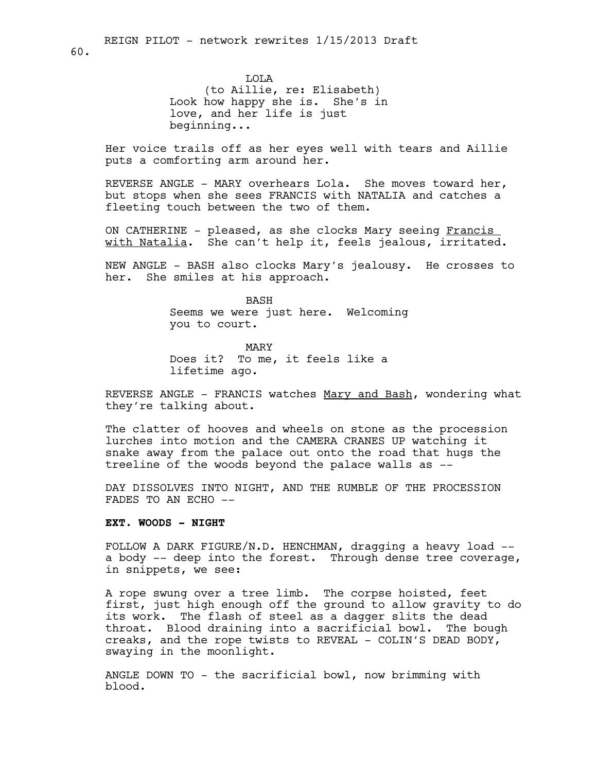LOLA (to Aillie, re: Elisabeth) Look how happy she is. She's in love, and her life is just beginning...

Her voice trails off as her eyes well with tears and Aillie puts a comforting arm around her.

REVERSE ANGLE - MARY overhears Lola. She moves toward her, but stops when she sees FRANCIS with NATALIA and catches a fleeting touch between the two of them.

ON CATHERINE - pleased, as she clocks Mary seeing Francis with Natalia. She can't help it, feels jealous, irritated.

NEW ANGLE - BASH also clocks Mary's jealousy. He crosses to her. She smiles at his approach.

> BASH Seems we were just here. Welcoming you to court.

MARY Does it? To me, it feels like a lifetime ago.

REVERSE ANGLE - FRANCIS watches Mary and Bash, wondering what they're talking about.

The clatter of hooves and wheels on stone as the procession lurches into motion and the CAMERA CRANES UP watching it snake away from the palace out onto the road that hugs the treeline of the woods beyond the palace walls as --

DAY DISSOLVES INTO NIGHT, AND THE RUMBLE OF THE PROCESSION FADES TO AN ECHO --

#### **EXT. WOODS - NIGHT**

FOLLOW A DARK FIGURE/N.D. HENCHMAN, dragging a heavy load - a body -- deep into the forest. Through dense tree coverage, in snippets, we see:

A rope swung over a tree limb. The corpse hoisted, feet first, just high enough off the ground to allow gravity to do its work. The flash of steel as a dagger slits the dead throat. Blood draining into a sacrificial bowl. The bough creaks, and the rope twists to REVEAL - COLIN'S DEAD BODY, swaying in the moonlight.

ANGLE DOWN TO - the sacrificial bowl, now brimming with blood.